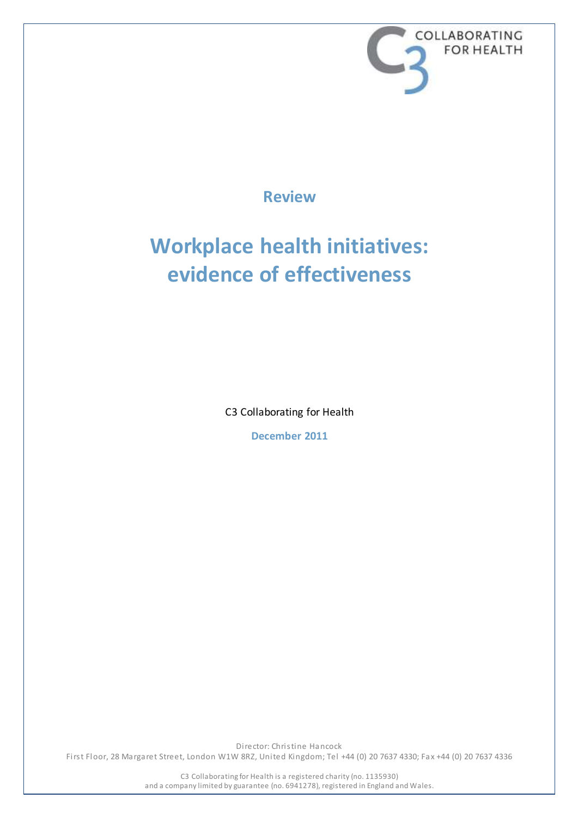

**Review**

# **Workplace health initiatives: evidence of effectiveness**

C3 Collaborating for Health

**December 2011**

Director: Christine Hancock First Floor, 28 Margaret Street, London W1W 8RZ, United Kingdom; Tel +44 (0) 20 7637 4330; Fax +44 (0) 20 7637 4336

> C3 Collaborating for Health is a registered charity (no. 1135930) and a company limited by guarantee (no. 6941278), registered in England and Wales.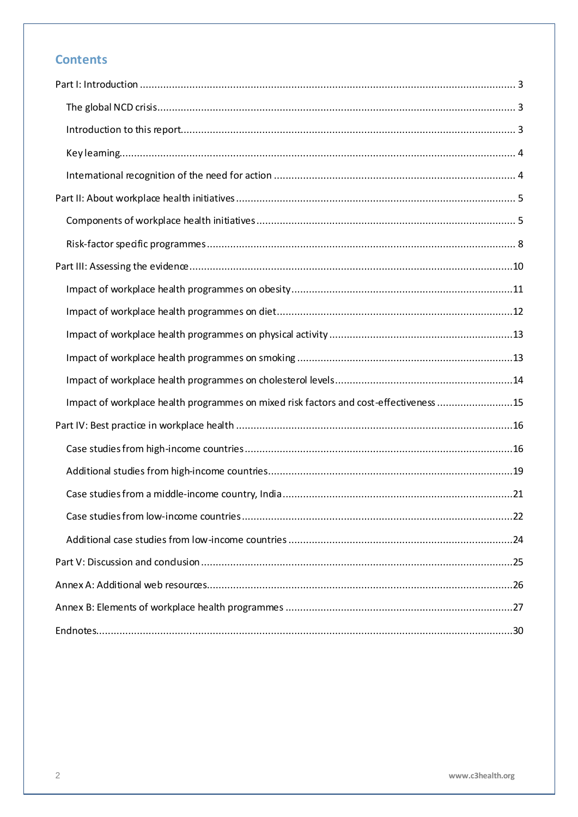## **Contents**

| Impact of workplace health programmes on mixed risk factors and cost-effectiveness 15 |  |
|---------------------------------------------------------------------------------------|--|
|                                                                                       |  |
|                                                                                       |  |
|                                                                                       |  |
|                                                                                       |  |
|                                                                                       |  |
|                                                                                       |  |
|                                                                                       |  |
|                                                                                       |  |
|                                                                                       |  |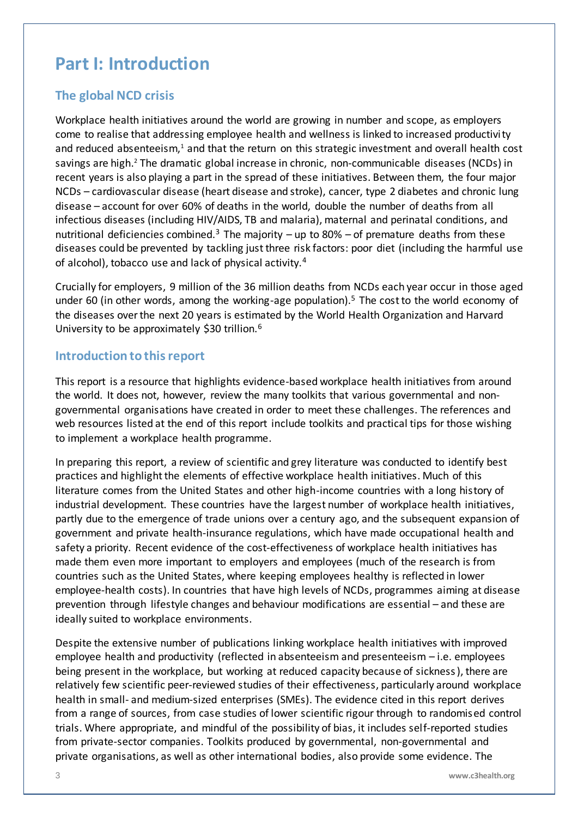## <span id="page-2-0"></span>**Part I: Introduction**

## <span id="page-2-1"></span>**The global NCD crisis**

Workplace health initiatives around the world are growing in number and scope, as employers come to realise that addressing employee health and wellness is linked to increased productivity and reduced absenteeism,<sup>1</sup> and that the return on this strategic investment and overall health cost savings are high. <sup>2</sup> The dramatic global increase in chronic, non-communicable diseases (NCDs) in recent years is also playing a part in the spread of these initiatives. Between them, the four major NCDs – cardiovascular disease (heart disease and stroke), cancer, type 2 diabetes and chronic lung disease – account for over 60% of deaths in the world, double the number of deaths from all infectious diseases (including HIV/AIDS, TB and malaria), maternal and perinatal conditions, and nutritional deficiencies combined.<sup>3</sup> The majority – up to 80% – of premature deaths from these diseases could be prevented by tackling just three risk factors: poor diet (including the harmful use of alcohol), tobacco use and lack of physical activity.<sup>4</sup>

Crucially for employers, 9 million of the 36 million deaths from NCDs each year occur in those aged under 60 (in other words, among the working-age population).<sup>5</sup> The cost to the world economy of the diseases over the next 20 years is estimated by the World Health Organization and Harvard University to be approximately \$30 trillion.<sup>6</sup>

### <span id="page-2-2"></span>**Introduction to this report**

This report is a resource that highlights evidence-based workplace health initiatives from around the world. It does not, however, review the many toolkits that various governmental and nongovernmental organisations have created in order to meet these challenges. The references and web resources listed at the end of this report include toolkits and practical tips for those wishing to implement a workplace health programme.

In preparing this report, a review of scientific and grey literature was conducted to identify best practices and highlight the elements of effective workplace health initiatives. Much of this literature comes from the United States and other high-income countries with a long history of industrial development. These countries have the largest number of workplace health initiatives, partly due to the emergence of trade unions over a century ago, and the subsequent expansion of government and private health-insurance regulations, which have made occupational health and safety a priority. Recent evidence of the cost-effectiveness of workplace health initiatives has made them even more important to employers and employees (much of the research is from countries such as the United States, where keeping employees healthy is reflected in lower employee-health costs). In countries that have high levels of NCDs, programmes aiming at disease prevention through lifestyle changes and behaviour modifications are essential – and these are ideally suited to workplace environments.

Despite the extensive number of publications linking workplace health initiatives with improved employee health and productivity (reflected in absenteeism and presenteeism – i.e. employees being present in the workplace, but working at reduced capacity because of sickness), there are relatively few scientific peer-reviewed studies of their effectiveness, particularly around workplace health in small- and medium-sized enterprises (SMEs). The evidence cited in this report derives from a range of sources, from case studies of lower scientific rigour through to randomised control trials. Where appropriate, and mindful of the possibility of bias, it includes self-reported studies from private-sector companies. Toolkits produced by governmental, non-governmental and private organisations, as well as other international bodies, also provide some evidence. The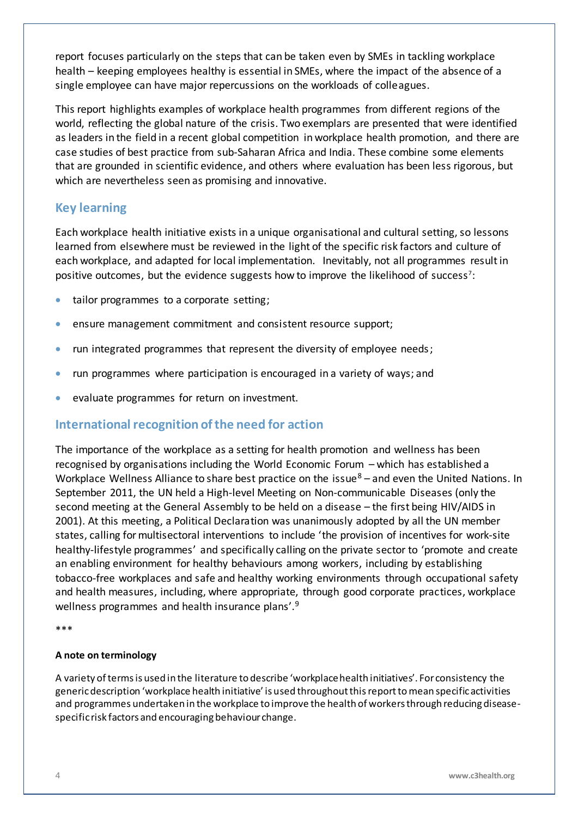report focuses particularly on the steps that can be taken even by SMEs in tackling workplace health – keeping employees healthy is essential in SMEs, where the impact of the absence of a single employee can have major repercussions on the workloads of colleagues.

This report highlights examples of workplace health programmes from different regions of the world, reflecting the global nature of the crisis. Two exemplars are presented that were identified as leaders in the field in a recent global competition in workplace health promotion, and there are case studies of best practice from sub-Saharan Africa and India. These combine some elements that are grounded in scientific evidence, and others where evaluation has been less rigorous, but which are nevertheless seen as promising and innovative.

### <span id="page-3-0"></span>**Key learning**

Each workplace health initiative exists in a unique organisational and cultural setting, so lessons learned from elsewhere must be reviewed in the light of the specific risk factors and culture of each workplace, and adapted for local implementation. Inevitably, not all programmes result in positive outcomes, but the evidence suggests how to improve the likelihood of success<sup>7</sup>:

- tailor programmes to a corporate setting;
- ensure management commitment and consistent resource support;
- run integrated programmes that represent the diversity of employee needs;
- run programmes where participation is encouraged in a variety of ways; and
- evaluate programmes for return on investment.

### <span id="page-3-1"></span>**International recognition of the need for action**

The importance of the workplace as a setting for health promotion and wellness has been recognised by organisations including the World Economic Forum – which has established a Workplace Wellness Alliance to share best practice on the issue $8 -$  and even the United Nations. In September 2011, the UN held a High-level Meeting on Non-communicable Diseases (only the second meeting at the General Assembly to be held on a disease – the first being HIV/AIDS in 2001). At this meeting, a Political Declaration was unanimously adopted by all the UN member states, calling for multisectoral interventions to include 'the provision of incentives for work-site healthy-lifestyle programmes' and specifically calling on the private sector to 'promote and create an enabling environment for healthy behaviours among workers, including by establishing tobacco-free workplaces and safe and healthy working environments through occupational safety and health measures, including, where appropriate, through good corporate practices, workplace wellness programmes and health insurance plans'.<sup>9</sup>

\*\*\*

#### **A note on terminology**

A variety of terms is used in the literature to describe 'workplace health initiatives'. For consistency the generic description 'workplace health initiative' is used throughout thisreportto mean specific activities and programmes undertaken in the workplace to improve the health of workers through reducing diseasespecific risk factors and encouraging behaviour change.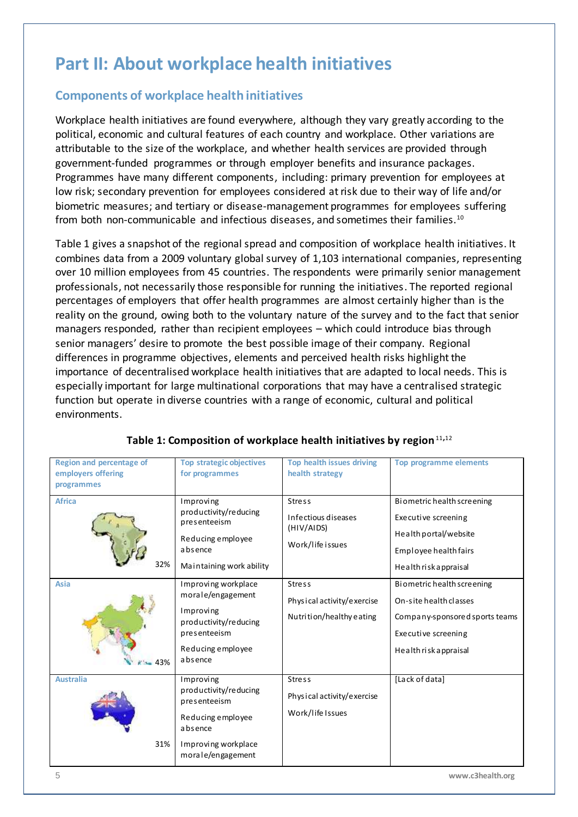## <span id="page-4-0"></span>**Part II: About workplace health initiatives**

## <span id="page-4-1"></span>**Components of workplace health initiatives**

Workplace health initiatives are found everywhere, although they vary greatly according to the political, economic and cultural features of each country and workplace. Other variations are attributable to the size of the workplace, and whether health services are provided through government-funded programmes or through employer benefits and insurance packages. Programmes have many different components, including: primary prevention for employees at low risk; secondary prevention for employees considered at risk due to their way of life and/or biometric measures; and tertiary or disease-management programmes for employees suffering from both non-communicable and infectious diseases, and sometimes their families.<sup>10</sup>

Table 1 gives a snapshot of the regional spread and composition of workplace health initiatives. It combines data from a 2009 voluntary global survey of 1,103 international companies, representing over 10 million employees from 45 countries. The respondents were primarily senior management professionals, not necessarily those responsible for running the initiatives. The reported regional percentages of employers that offer health programmes are almost certainly higher than is the reality on the ground, owing both to the voluntary nature of the survey and to the fact that senior managers responded, rather than recipient employees – which could introduce bias through senior managers' desire to promote the best possible image of their company. Regional differences in programme objectives, elements and perceived health risks highlight the importance of decentralised workplace health initiatives that are adapted to local needs. This is especially important for large multinational corporations that may have a centralised strategic function but operate in diverse countries with a range of economic, cultural and political environments.

| Region and percentage of<br>employers offering<br>programmes | <b>Top strategic objectives</b><br>for programmes                                                                                                          | <b>Top health issues driving</b><br>health strategy                                     | <b>Top programme elements</b>                                                                                                                              |
|--------------------------------------------------------------|------------------------------------------------------------------------------------------------------------------------------------------------------------|-----------------------------------------------------------------------------------------|------------------------------------------------------------------------------------------------------------------------------------------------------------|
| <b>Africa</b><br>32%<br><b>Asia</b>                          | Improving<br>productivity/reducing<br>presenteeism<br>Reducing employee<br>absence<br>Maintaining work ability<br>Improving workplace<br>morale/engagement | <b>Stress</b><br>Infectious diseases<br>(HIV/AIDS)<br>Work/life issues<br><b>Stress</b> | Biometric health screening<br>Executive screening<br>Health portal/website<br>Employee health fairs<br>Health risk appraisal<br>Biometric health screening |
| 43%                                                          | Improving<br>productivity/reducing<br>presenteeism<br>Reducing employee<br>absence                                                                         | Physical activity/exercise<br>Nutrition/healthy eating                                  | On-site health classes<br>Company-sponsored sports teams<br>Executive screening<br>Health risk appraisal                                                   |
| <b>Australia</b><br>31%                                      | Improving<br>productivity/reducing<br>presenteeism<br>Reducing employee<br>absence<br>Improving workplace<br>morale/engagement                             | <b>Stress</b><br>Physical activity/exercise<br>Work/life Issues                         | [Lack of data]                                                                                                                                             |

#### **Table 1: Composition of workplace health initiatives by region**11**,**<sup>12</sup>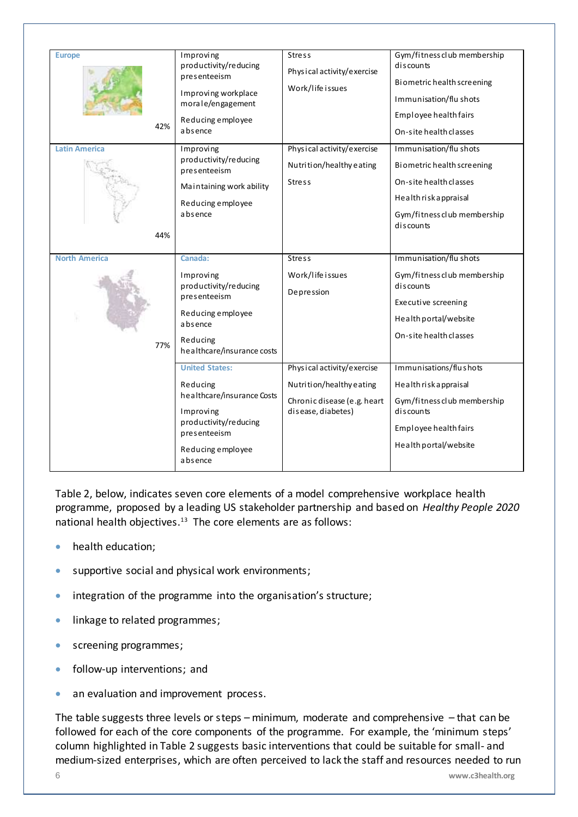| <b>Europe</b><br>42%<br><b>Latin America</b><br>44% | Improving<br>productivity/reducing<br>presenteeism<br>Improving workplace<br>morale/engagement<br>Reducing employee<br>absence<br>Improving<br>productivity/reducing<br>presenteeism<br>Maintaining work ability<br>Reducing employee<br>absence                                                 | <b>Stress</b><br>Physical activity/exercise<br>Work/life issues<br>Physical activity/exercise<br>Nutrition/healthy eating<br><b>Stress</b>                     | Gym/fitnessclub membership<br>discounts<br>Biometric health screening<br>Immunisation/flu shots<br>Employee health fairs<br>On-site health classes<br>Immunisation/flu shots<br>Biometric health screening<br>On-site health classes<br>Health risk appraisal<br>Gym/fitnessclub membership<br>discounts |
|-----------------------------------------------------|--------------------------------------------------------------------------------------------------------------------------------------------------------------------------------------------------------------------------------------------------------------------------------------------------|----------------------------------------------------------------------------------------------------------------------------------------------------------------|----------------------------------------------------------------------------------------------------------------------------------------------------------------------------------------------------------------------------------------------------------------------------------------------------------|
| <b>North America</b><br>77%                         | Canada:<br>Improving<br>productivity/reducing<br>presenteeism<br>Reducing employee<br>absence<br>Reducing<br>healthcare/insurance costs<br><b>United States:</b><br>Reducing<br>healthcare/insurance Costs<br>Improving<br>productivity/reducing<br>presenteeism<br>Reducing employee<br>absence | <b>Stress</b><br>Work/life issues<br>Depression<br>Physical activity/exercise<br>Nutrition/healthy eating<br>Chronic disease (e.g. heart<br>disease, diabetes) | Immunisation/flu shots<br>Gym/fitnessclub membership<br>discounts<br>Executive screening<br>Health portal/website<br>On-site health classes<br>Immunisations/flushots<br>Health risk appraisal<br>Gym/fitnessclub membership<br>discounts<br>Employee health fairs<br>Health portal/website              |

Table 2, below, indicates seven core elements of a model comprehensive workplace health programme, proposed by a leading US stakeholder partnership and based on *Healthy People 2020* national health objectives.<sup>13</sup> The core elements are as follows:

- health education;
- **supportive social and physical work environments;**
- integration of the programme into the organisation's structure;
- **Inkage to related programmes;**
- **screening programmes;**
- follow-up interventions; and
- an evaluation and improvement process.

The table suggests three levels or steps – minimum, moderate and comprehensive – that can be followed for each of the core components of the programme. For example, the 'minimum steps' column highlighted in Table 2 suggests basic interventions that could be suitable for small- and medium-sized enterprises, which are often perceived to lack the staff and resources needed to run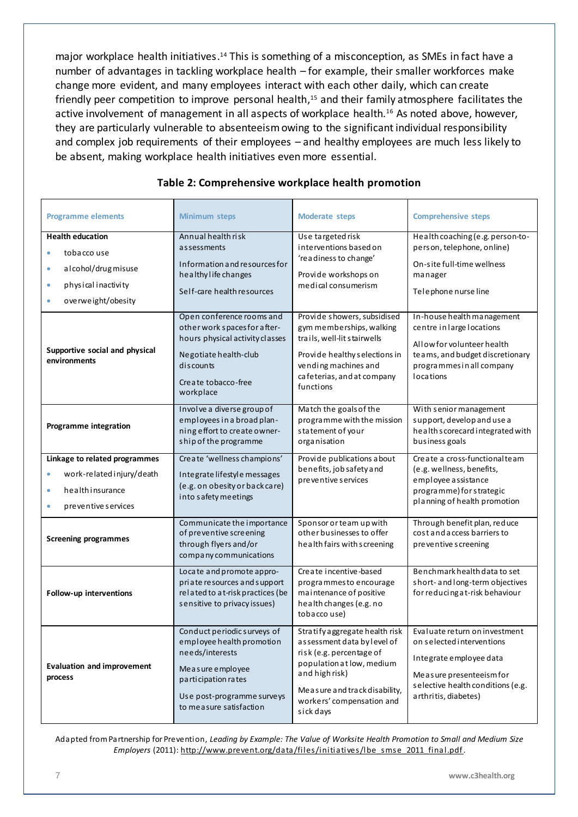major workplace health initiatives.<sup>14</sup> This is something of a misconception, as SMEs in fact have a number of advantages in tackling workplace health – for example, their smaller workforces make change more evident, and many employees interact with each other daily, which can create friendly peer competition to improve personal health, <sup>15</sup> and their family atmosphere facilitates the active involvement of management in all aspects of workplace health.<sup>16</sup> As noted above, however, they are particularly vulnerable to absenteeism owing to the significant individual responsibility and complex job requirements of their employees – and healthy employees are much less likely to be absent, making workplace health initiatives even more essential.

| <b>Programme elements</b>                      | <b>Minimum steps</b>                                                                                                                                                               | <b>Moderate steps</b>                                                                                                                                                                                               | <b>Comprehensive steps</b>                                                                                                                                                     |
|------------------------------------------------|------------------------------------------------------------------------------------------------------------------------------------------------------------------------------------|---------------------------------------------------------------------------------------------------------------------------------------------------------------------------------------------------------------------|--------------------------------------------------------------------------------------------------------------------------------------------------------------------------------|
| <b>Health education</b>                        | Annual healthrisk                                                                                                                                                                  | Use targeted risk                                                                                                                                                                                                   | Health coaching (e.g. person-to-                                                                                                                                               |
| tobacco use<br>۰                               | assessments                                                                                                                                                                        | interventions based on                                                                                                                                                                                              | person, telephone, online)                                                                                                                                                     |
|                                                | Information and resources for                                                                                                                                                      | 'readiness to change'                                                                                                                                                                                               | On-site full-time wellness                                                                                                                                                     |
| alcohol/drugmisuse<br>۰                        | healthy life changes                                                                                                                                                               | Provide workshops on                                                                                                                                                                                                | manager                                                                                                                                                                        |
| physical inactivity<br>۰                       | Self-care health resources                                                                                                                                                         | medical consumerism                                                                                                                                                                                                 | Telephone nurse line                                                                                                                                                           |
| overweight/obesity<br>٠                        |                                                                                                                                                                                    |                                                                                                                                                                                                                     |                                                                                                                                                                                |
| Supportive social and physical<br>environments | Open conference rooms and<br>other work spaces for after-<br>hours physical activity classes<br>Negotiate health-club<br>discounts<br>Create tobacco-free<br>workplace             | Provide showers, subsidised<br>gym memberships, walking<br>trails, well-lit stairwells<br>Provide healthy selections in<br>vending machines and<br>cafeterias, and at company<br>functions                          | In-house health management<br>centre in large locations<br>Allow for volunteer health<br>teams, and budget discretionary<br>programmes in all company<br><b>locations</b>      |
| Programme integration                          | Involve a diverse group of<br>employees in a broad plan-<br>ning effort to create owner-<br>ship of the programme                                                                  | Match the goals of the<br>programme with the mission<br>statement of your<br>organisation                                                                                                                           | With senior management<br>support, develop and use a<br>health scorecard integrated with<br>business goals                                                                     |
| Linkage to related programmes                  | Create 'wellness champions'                                                                                                                                                        | Provide publications about                                                                                                                                                                                          | Create a cross-functional team                                                                                                                                                 |
| work-related injury/death<br>۰                 | Integrate lifestyle messages                                                                                                                                                       | benefits, job safety and<br>preventive services                                                                                                                                                                     | (e.g. wellness, benefits,                                                                                                                                                      |
| he alth insurance<br>٠                         | (e.g. on obesity or back care)                                                                                                                                                     |                                                                                                                                                                                                                     | employee assistance<br>programme) for strategic                                                                                                                                |
| preventive services<br>٠                       | into safety meetings                                                                                                                                                               |                                                                                                                                                                                                                     | planning of health promotion                                                                                                                                                   |
|                                                |                                                                                                                                                                                    |                                                                                                                                                                                                                     |                                                                                                                                                                                |
| <b>Screening programmes</b>                    | Communicate the importance<br>of preventive screening<br>through flyers and/or<br>company communications                                                                           | Sponsor or team up with<br>other businesses to offer<br>health fairs with screening                                                                                                                                 | Through benefit plan, reduce<br>cost and access barriers to<br>preventive screening                                                                                            |
| Follow-up interventions                        | Locate and promote appro-<br>priate resources and support<br>related to at-risk practices (be<br>sensitive to privacy issues)                                                      | Create incentive-based<br>programmes to encourage<br>maintenance of positive<br>health changes (e.g. no<br>tobacco use)                                                                                             | Benchmark health data to set<br>short- and long-term objectives<br>for reducing a t-risk behaviour                                                                             |
| <b>Evaluation and improvement</b><br>process   | Conduct periodic surveys of<br>employee health promotion<br>needs/interests<br>Me a sure e mployee<br>participation rates<br>Use post-programme surveys<br>to measure satisfaction | Stratify aggregate health risk<br>assessment data by level of<br>risk (e.g. percentage of<br>population at low, medium<br>and high risk)<br>Measure and track disability,<br>workers' compensation and<br>sick days | Evaluate return on investment<br>on selected interventions<br>Integrate employee data<br>Measure presenteeism for<br>selective health conditions (e.g.<br>arthritis, diabetes) |

#### **Table 2: Comprehensive workplace health promotion**

Adapted from Partnership for Prevention, *Leading by Example: The Value of Worksite Health Promotion to Small and Medium Size Employers* (2011): ht[tp://www.prevent.org/data/files/initiatives/lbe\\_smse\\_2011\\_final.p](http://www.prevent.org/data/files/initiatives/lbe_smse_2011_final.pdf)df.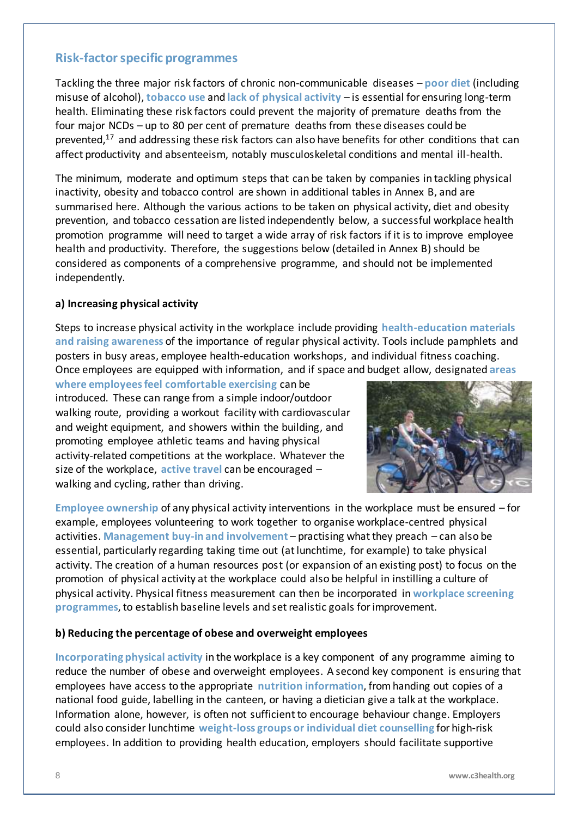### <span id="page-7-0"></span>**Risk-factor specific programmes**

Tackling the three major risk factors of chronic non-communicable diseases – **poor diet** (including misuse of alcohol), **tobacco use** and **lack of physical activity** – is essential for ensuring long-term health. Eliminating these risk factors could prevent the majority of premature deaths from the four major NCDs – up to 80 per cent of premature deaths from these diseases could be prevented, <sup>17</sup> and addressing these risk factors can also have benefits for other conditions that can affect productivity and absenteeism, notably musculoskeletal conditions and mental ill-health.

The minimum, moderate and optimum steps that can be taken by companies in tackling physical inactivity, obesity and tobacco control are shown in additional tables in Annex B, and are summarised here. Although the various actions to be taken on physical activity, diet and obesity prevention, and tobacco cessation are listed independently below, a successful workplace health promotion programme will need to target a wide array of risk factors if it is to improve employee health and productivity. Therefore, the suggestions below (detailed in Annex B) should be considered as components of a comprehensive programme, and should not be implemented independently.

#### **a) Increasing physical activity**

Steps to increase physical activity in the workplace include providing **health-education materials and raising awareness** of the importance of regular physical activity. Tools include pamphlets and posters in busy areas, employee health-education workshops, and individual fitness coaching. Once employees are equipped with information, and if space and budget allow, designated **areas** 

**where employees feel comfortable exercising** can be introduced. These can range from a simple indoor/outdoor walking route, providing a workout facility with cardiovascular and weight equipment, and showers within the building, and promoting employee athletic teams and having physical activity-related competitions at the workplace. Whatever the size of the workplace, **active travel** can be encouraged – walking and cycling, rather than driving.



**Employee ownership** of any physical activity interventions in the workplace must be ensured – for example, employees volunteering to work together to organise workplace-centred physical activities. **Management buy-in and involvement** – practising what they preach – can also be essential, particularly regarding taking time out (at lunchtime, for example) to take physical activity. The creation of a human resources post (or expansion of an existing post) to focus on the promotion of physical activity at the workplace could also be helpful in instilling a culture of physical activity. Physical fitness measurement can then be incorporated in **workplace screening programmes**, to establish baseline levels and set realistic goals for improvement.

#### **b) Reducing the percentage of obese and overweight employees**

**Incorporating physical activity** in the workplace is a key component of any programme aiming to reduce the number of obese and overweight employees. A second key component is ensuring that employees have access to the appropriate **nutrition information**, from handing out copies of a national food guide, labelling in the canteen, or having a dietician give a talk at the workplace. Information alone, however, is often not sufficient to encourage behaviour change. Employers could also consider lunchtime **weight-loss groups or individual diet counselling** for high-risk employees. In addition to providing health education, employers should facilitate supportive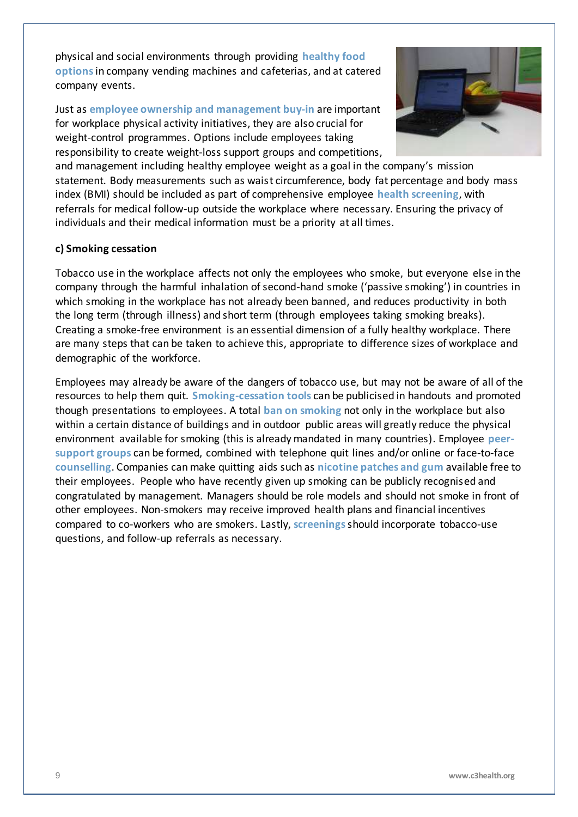physical and social environments through providing **healthy food options**in company vending machines and cafeterias, and at catered company events.

Just as **employee ownership and management buy-in** are important for workplace physical activity initiatives, they are also crucial for weight-control programmes. Options include employees taking responsibility to create weight-loss support groups and competitions,



and management including healthy employee weight as a goal in the company's mission statement. Body measurements such as waist circumference, body fat percentage and body mass index (BMI) should be included as part of comprehensive employee **health screening**, with referrals for medical follow-up outside the workplace where necessary. Ensuring the privacy of individuals and their medical information must be a priority at all times.

#### **c) Smoking cessation**

Tobacco use in the workplace affects not only the employees who smoke, but everyone else in the company through the harmful inhalation of second-hand smoke ('passive smoking') in countries in which smoking in the workplace has not already been banned, and reduces productivity in both the long term (through illness) and short term (through employees taking smoking breaks). Creating a smoke-free environment is an essential dimension of a fully healthy workplace. There are many steps that can be taken to achieve this, appropriate to difference sizes of workplace and demographic of the workforce.

Employees may already be aware of the dangers of tobacco use, but may not be aware of all of the resources to help them quit. **Smoking-cessation tools** can be publicised in handouts and promoted though presentations to employees. A total **ban on smoking** not only in the workplace but also within a certain distance of buildings and in outdoor public areas will greatly reduce the physical environment available for smoking (this is already mandated in many countries). Employee **peersupport groups** can be formed, combined with telephone quit lines and/or online or face-to-face **counselling**. Companies can make quitting aids such as **nicotine patches and gum** available free to their employees. People who have recently given up smoking can be publicly recognised and congratulated by management. Managers should be role models and should not smoke in front of other employees. Non-smokers may receive improved health plans and financial incentives compared to co-workers who are smokers. Lastly, **screenings**should incorporate tobacco-use questions, and follow-up referrals as necessary.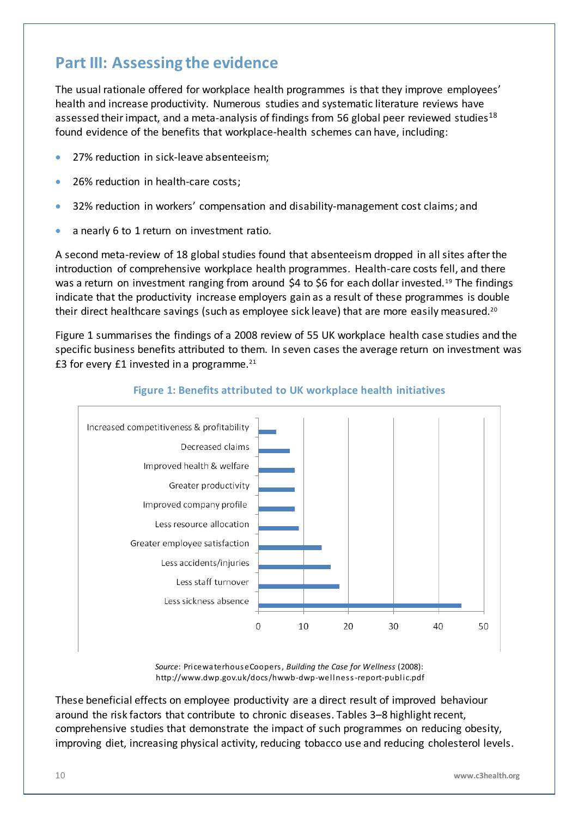## <span id="page-9-0"></span>**Part III: Assessing the evidence**

The usual rationale offered for workplace health programmes is that they improve employees' health and increase productivity. Numerous studies and systematic literature reviews have assessed their impact, and a meta-analysis of findings from 56 global peer reviewed studies<sup>18</sup> found evidence of the benefits that workplace-health schemes can have, including:

- 27% reduction in sick-leave absenteeism;
- 26% reduction in health-care costs;
- 32% reduction in workers' compensation and disability-management cost claims; and
- a nearly 6 to 1 return on investment ratio.

A second meta-review of 18 global studies found that absenteeism dropped in all sites after the introduction of comprehensive workplace health programmes. Health-care costs fell, and there was a return on investment ranging from around \$4 to \$6 for each dollar invested.<sup>19</sup> The findings indicate that the productivity increase employers gain as a result of these programmes is double their direct healthcare savings (such as employee sick leave) that are more easily measured.<sup>20</sup>

Figure 1 summarises the findings of a 2008 review of 55 UK workplace health case studies and the specific business benefits attributed to them. In seven cases the average return on investment was £3 for every £1 invested in a programme. $^{21}$ 



#### **Figure 1: Benefits attributed to UK workplace health initiatives**

*Source*: PricewaterhouseCoopers, *Building the Case for Wellness* (2008): ht[tp://www.dwp.gov.uk/docs/hwwb-dwp-wellness-report-public.p](http://www.dwp.gov.uk/docs/hwwb-dwp-wellness-report-public.pdf)df

These beneficial effects on employee productivity are a direct result of improved behaviour around the risk factors that contribute to chronic diseases. Tables 3–8 highlight recent, comprehensive studies that demonstrate the impact of such programmes on reducing obesity, improving diet, increasing physical activity, reducing tobacco use and reducing cholesterol levels.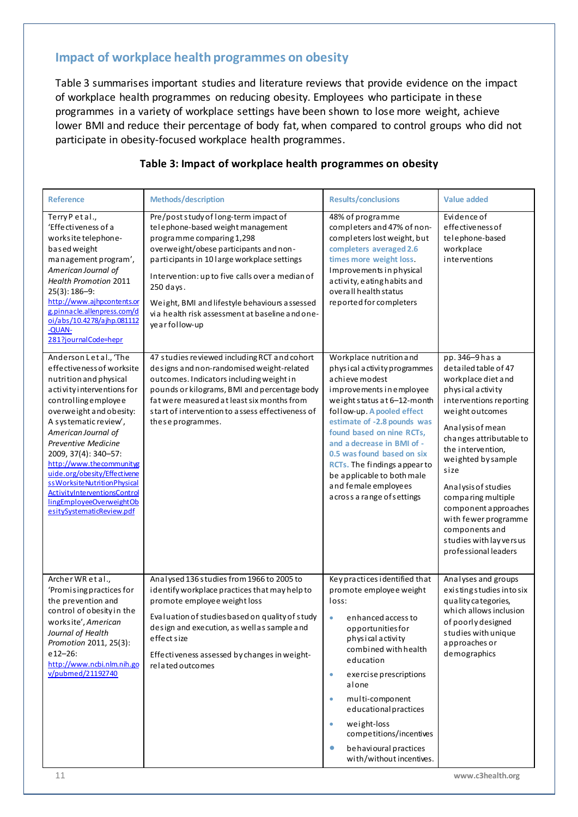## <span id="page-10-0"></span>**Impact of workplace health programmes on obesity**

Table 3 summarises important studies and literature reviews that provide evidence on the impact of workplace health programmes on reducing obesity. Employees who participate in these programmes in a variety of workplace settings have been shown to lose more weight, achieve lower BMI and reduce their percentage of body fat, when compared to control groups who did not participate in obesity-focused workplace health programmes.

| <b>Reference</b>                                                                                                                                                                                                                                                                                                                                                                                                                                           | <b>Methods/description</b>                                                                                                                                                                                                                                                                                                                                                               | <b>Results/conclusions</b>                                                                                                                                                                                                                                                                                                                                                                                       | <b>Value added</b>                                                                                                                                                                                                                                                                                                                                                                                   |
|------------------------------------------------------------------------------------------------------------------------------------------------------------------------------------------------------------------------------------------------------------------------------------------------------------------------------------------------------------------------------------------------------------------------------------------------------------|------------------------------------------------------------------------------------------------------------------------------------------------------------------------------------------------------------------------------------------------------------------------------------------------------------------------------------------------------------------------------------------|------------------------------------------------------------------------------------------------------------------------------------------------------------------------------------------------------------------------------------------------------------------------------------------------------------------------------------------------------------------------------------------------------------------|------------------------------------------------------------------------------------------------------------------------------------------------------------------------------------------------------------------------------------------------------------------------------------------------------------------------------------------------------------------------------------------------------|
| Terry Petal.,<br>'Effectiveness of a<br>works ite telephone-<br>based weight<br>management program',<br>American Journal of<br><b>Health Promotion 2011</b><br>$25(3): 186 - 9:$<br>http://www.ajhpcontents.or<br>g.pinnacle.allenpress.com/d<br>oi/abs/10.4278/ajhp.081112<br>-QUAN-<br>281?journalCode=hepr                                                                                                                                              | Pre/post study of long-term impact of<br>telephone-based weight management<br>programme comparing 1,298<br>overweight/obese participants and non-<br>participants in 10 large workplace settings<br>Intervention: up to five calls over a median of<br>$250$ days.<br>Weight, BMI and lifestyle behaviours assessed<br>via health risk assessment at baseline and one-<br>year follow-up | 48% of programme<br>completers and 47% of non-<br>completers lost weight, but<br>completers averaged 2.6<br>times more weight loss.<br>Improvements in physical<br>activity, eating habits and<br>overall health status<br>reported for completers                                                                                                                                                               | Evidence of<br>effectiveness of<br>telephone-based<br>workplace<br>interventions                                                                                                                                                                                                                                                                                                                     |
| Anderson Letal., 'The<br>effectiveness of worksite<br>nutrition and physical<br>a ctivity interventions for<br>controllingemployee<br>overweight and obesity:<br>A systematic review',<br>American Journal of<br><b>Preventive Medicine</b><br>2009, 37(4): 340-57:<br>http://www.thecommunityg<br>uide.org/obesity/Effectivene<br>ss Worksite Nutrition Physical<br>ActivityInterventionsControl<br>lingEmployeeOverweightOb<br>esitySystematicReview.pdf | 47 studies reviewed including RCT and cohort<br>designs and non-randomised weight-related<br>outcomes. Indicators including weight in<br>pounds or kilograms, BMI and percentage body<br>fat were measured at least six months from<br>start of intervention to assess effectiveness of<br>these programmes.                                                                             | Workplace nutrition and<br>physical activity programmes<br>a chieve modest<br>improvements in employee<br>weight status at 6-12-month<br>follow-up. A pooled effect<br>estimate of -2.8 pounds was<br>found based on nine RCTs,<br>and a decrease in BMI of -<br>0.5 was found based on six<br>RCTs. The findings appear to<br>be applicable to both male<br>and female employees<br>a cross a range of settings | pp. 346-9 has a<br>detailed table of 47<br>workplace diet and<br>physical activity<br>interventions reporting<br>weight outcomes<br>Analysis of mean<br>changes attributable to<br>the intervention,<br>weighted by sample<br>size<br>Analysis of studies<br>comparing multiple<br>component approaches<br>with fewer programme<br>components and<br>studies with lay versus<br>professional leaders |
| Archer WR et al.,<br>'Promising practices for<br>the prevention and<br>control of obesity in the<br>worksite', American<br>Journal of Health<br>Promotion 2011, 25(3):<br>$e12 - 26$ :<br>http://www.ncbi.nlm.nih.go<br>v/pubmed/21192740                                                                                                                                                                                                                  | Analysed 136 studies from 1966 to 2005 to<br>identify workplace practices that may help to<br>promote employee weight loss<br>Evaluation of studies based on quality of study<br>design and execution, as well as sample and<br>effectsize<br>Effectiveness assessed by changes in weight-<br>related outcomes                                                                           | Key practices identified that<br>promote employee weight<br>loss:<br>enhanced access to<br>$\bullet$<br>opportunities for<br>physical activity<br>combined with health<br>education<br>e xe rci se prescriptions<br>$\bullet$<br>alone<br>multi-component<br>$\bullet$<br>educational practices<br>weight-loss<br>competitions/incentives<br>behavioural practices<br>$\bullet$<br>with/without incentives.      | Analyses and groups<br>existingstudies into six<br>quality categories,<br>which allows inclusion<br>of poorly designed<br>studies with unique<br>approaches or<br>demographics                                                                                                                                                                                                                       |

#### **Table 3: Impact of workplace health programmes on obesity**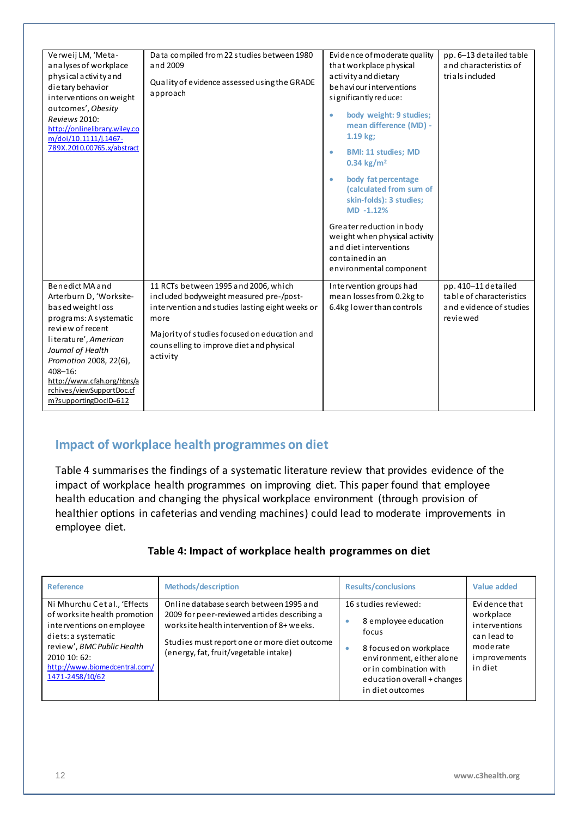| Verweij LM, 'Meta-<br>analyses of workplace<br>physical activity and<br>dietary behavior<br>interventions on weight<br>outcomes', Obesity<br>Reviews 2010:<br>http://onlinelibrary.wiley.co<br>m/doi/10.1111/j.1467-<br>789X.2010.00765.x/abstract                                        | Data compiled from 22 studies between 1980<br>and 2009<br>Quality of evidence assessed using the GRADE<br>approach                                                                                                                                 | Evidence of moderate quality<br>that workplace physical<br>a ctivity and dietary<br>be haviour interventions<br>significantly reduce:<br>body weight: 9 studies;<br>ö<br>mean difference (MD) -<br>$1.19$ kg;<br><b>BMI: 11 studies; MD</b><br>۰<br>$0.34 \text{ kg/m}^2$<br>body fat percentage<br>$\bullet$<br>(calculated from sum of<br>skin-folds): 3 studies;<br>$MD -1.12%$<br>Greater reduction in body<br>weight when physical activity<br>and diet interventions<br>contained in an<br>environmental component | pp. 6-13 detailed table<br>and characteristics of<br>trials included                   |
|-------------------------------------------------------------------------------------------------------------------------------------------------------------------------------------------------------------------------------------------------------------------------------------------|----------------------------------------------------------------------------------------------------------------------------------------------------------------------------------------------------------------------------------------------------|--------------------------------------------------------------------------------------------------------------------------------------------------------------------------------------------------------------------------------------------------------------------------------------------------------------------------------------------------------------------------------------------------------------------------------------------------------------------------------------------------------------------------|----------------------------------------------------------------------------------------|
| Benedict MA and<br>Arterburn D, 'Worksite-<br>based weight loss<br>programs: A systematic<br>review of recent<br>literature', American<br>Journal of Health<br>Promotion 2008, 22(6),<br>$408 - 16$ :<br>http://www.cfah.org/hbns/a<br>rchives/viewSupportDoc.cf<br>m?supportingDocID=612 | 11 RCTs between 1995 and 2006, which<br>included bodyweight measured pre-/post-<br>intervention and studies lasting eight weeks or<br>more<br>Majority of studies focused on education and<br>counselling to improve diet and physical<br>activity | Intervention groups had<br>mean losses from 0.2kg to<br>6.4kg lower than controls                                                                                                                                                                                                                                                                                                                                                                                                                                        | pp. 410-11 detailed<br>table of characteristics<br>and evidence of studies<br>reviewed |

## <span id="page-11-0"></span>**Impact of workplace health programmes on diet**

Table 4 summarises the findings of a systematic literature review that provides evidence of the impact of workplace health programmes on improving diet. This paper found that employee health education and changing the physical workplace environment (through provision of healthier options in cafeterias and vending machines) could lead to moderate improvements in employee diet.

#### **Table 4: Impact of workplace health programmes on diet**

| <b>Reference</b>                                                                                                                                                                                                   | <b>Methods/description</b>                                                                                                                                                                                                    | <b>Results/conclusions</b>                                                                                                                                                                          | Value added                                                                                               |
|--------------------------------------------------------------------------------------------------------------------------------------------------------------------------------------------------------------------|-------------------------------------------------------------------------------------------------------------------------------------------------------------------------------------------------------------------------------|-----------------------------------------------------------------------------------------------------------------------------------------------------------------------------------------------------|-----------------------------------------------------------------------------------------------------------|
| Ni Mhurchu Cetal., 'Effects<br>of works ite health promotion<br>interventions on employee<br>diets: a systematic<br>review', BMC Public Health<br>2010 10: 62:<br>http://www.biomedcentral.com/<br>1471-2458/10/62 | Online database search between 1995 and<br>2009 for peer-reviewed artides describing a<br>works ite health intervention of 8+ weeks.<br>Studies must report one or more diet outcome<br>(energy, fat, fruit/vegetable intake) | 16 studies reviewed:<br>8 employee education<br>۰<br>focus<br>8 focused on workplace<br>۰<br>environment, either alone<br>or in combination with<br>education overall + changes<br>in diet outcomes | Evidence that<br>workplace<br>interventions<br>can lead to<br>moderate<br><i>i</i> mprovements<br>in diet |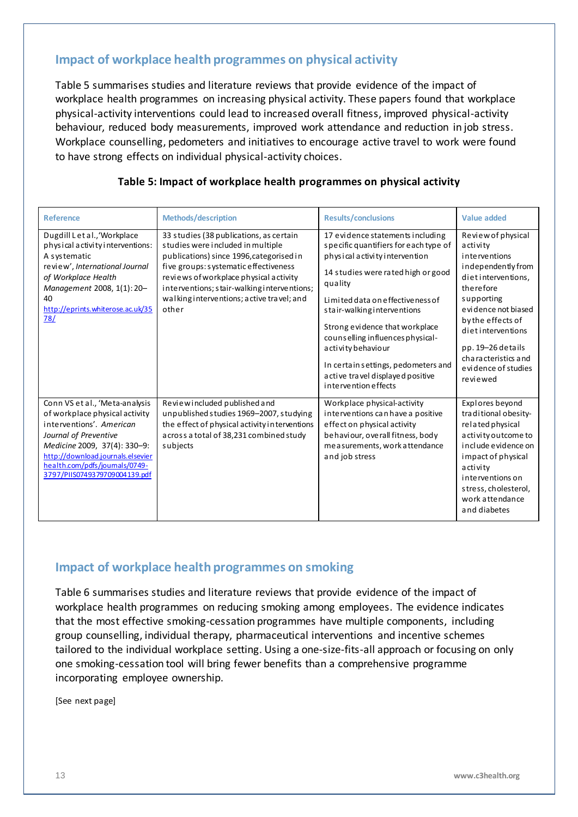## <span id="page-12-0"></span>**Impact of workplace health programmes on physical activity**

Table 5 summarises studies and literature reviews that provide evidence of the impact of workplace health programmes on increasing physical activity. These papers found that workplace physical-activity interventions could lead to increased overall fitness, improved physical-activity behaviour, reduced body measurements, improved work attendance and reduction in job stress. Workplace counselling, pedometers and initiatives to encourage active travel to work were found to have strong effects on individual physical-activity choices.

| <b>Reference</b>                                                                                                                                                                                                                                              | <b>Methods/description</b>                                                                                                                                                                                                                                                                                       | <b>Results/conclusions</b>                                                                                                                                                                                                                                                                                                                                                                                                          | <b>Value added</b>                                                                                                                                                                                                                                                     |
|---------------------------------------------------------------------------------------------------------------------------------------------------------------------------------------------------------------------------------------------------------------|------------------------------------------------------------------------------------------------------------------------------------------------------------------------------------------------------------------------------------------------------------------------------------------------------------------|-------------------------------------------------------------------------------------------------------------------------------------------------------------------------------------------------------------------------------------------------------------------------------------------------------------------------------------------------------------------------------------------------------------------------------------|------------------------------------------------------------------------------------------------------------------------------------------------------------------------------------------------------------------------------------------------------------------------|
| Dugdill Let al., 'Workplace<br>physical activity interventions:<br>A systematic<br>review', International Journal<br>of Workplace Health<br>Management 2008, 1(1): 20-<br>40<br>http://eprints.whiterose.ac.uk/35<br>78/                                      | 33 studies (38 publications, as certain<br>studies were included in multiple<br>publications) since 1996, categorised in<br>five groups: systematic effectiveness<br>reviews of workplace physical activity<br>interventions; stair-walking interventions;<br>walking interventions; active travel; and<br>other | 17 evidence statements including<br>specific quantifiers for each type of<br>physical activity intervention<br>14 studies were rated high or good<br>quality<br>Limited data on effective ness of<br>stair-walking interventions<br>Strong evidence that workplace<br>counselling influences physical-<br>a cti vi ty behaviour<br>In certain settings, pedometers and<br>a ctive travel displayed positive<br>intervention effects | Review of physical<br>activity<br>interventions<br>independentlyfrom<br>dietinterventions,<br>therefore<br>supporting<br>e vidence not biased<br>by the effects of<br>dietinterventions<br>pp. 19-26 details<br>characteristics and<br>evidence of studies<br>reviewed |
| Conn VS et al., 'Meta-analysis<br>of workplace physical activity<br>interventions'. American<br>Journal of Preventive<br>Medicine 2009, 37(4): 330-9:<br>http://download.journals.elsevier<br>health.com/pdfs/journals/0749-<br>3797/PIIS0749379709004139.pdf | Review included published and<br>unpublished studies 1969-2007, studying<br>the effect of physical activity in terventions<br>a cross a total of 38,231 combined study<br>subjects                                                                                                                               | Workplace physical-activity<br>interventions can have a positive<br>effect on physical activity<br>behaviour, overall fitness, body<br>measurements, work attendance<br>and job stress                                                                                                                                                                                                                                              | Explores beyond<br>traditional obesity-<br>related physical<br>activity outcome to<br>include evidence on<br>impact of physical<br>activity<br>interventions on<br>stress, cholesterol,<br>work attendance<br>and diabetes                                             |

#### **Table 5: Impact of workplace health programmes on physical activity**

#### <span id="page-12-1"></span>**Impact of workplace health programmes on smoking**

Table 6 summarises studies and literature reviews that provide evidence of the impact of workplace health programmes on reducing smoking among employees. The evidence indicates that the most effective smoking-cessation programmes have multiple components, including group counselling, individual therapy, pharmaceutical interventions and incentive schemes tailored to the individual workplace setting. Using a one-size-fits-all approach or focusing on only one smoking-cessation tool will bring fewer benefits than a comprehensive programme incorporating employee ownership.

[See next page]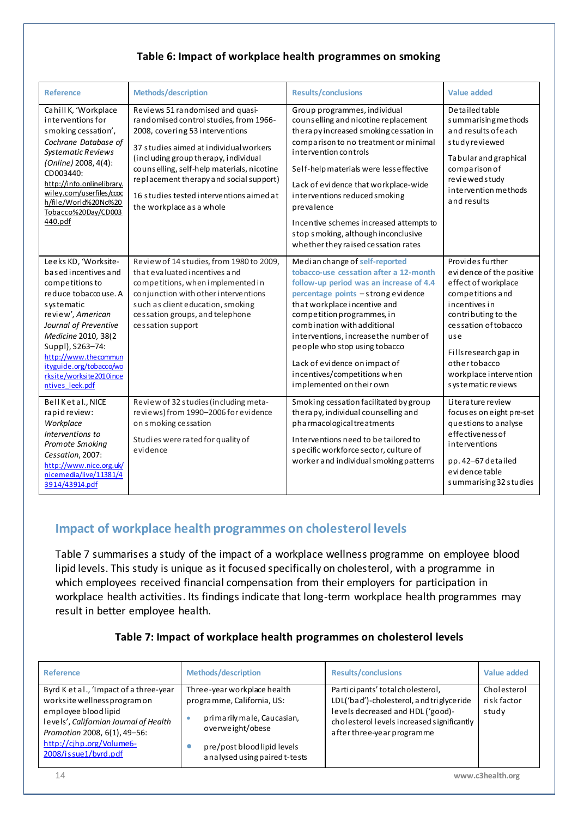#### **Table 6: Impact of workplace health programmes on smoking**

| <b>Reference</b>                                                                                                                                                                                                                                                                                 | <b>Methods/description</b>                                                                                                                                                                                                                                                                                                                                       | <b>Results/conclusions</b>                                                                                                                                                                                                                                                                                                                                                                                                                   | <b>Value added</b>                                                                                                                                                                                                                                       |
|--------------------------------------------------------------------------------------------------------------------------------------------------------------------------------------------------------------------------------------------------------------------------------------------------|------------------------------------------------------------------------------------------------------------------------------------------------------------------------------------------------------------------------------------------------------------------------------------------------------------------------------------------------------------------|----------------------------------------------------------------------------------------------------------------------------------------------------------------------------------------------------------------------------------------------------------------------------------------------------------------------------------------------------------------------------------------------------------------------------------------------|----------------------------------------------------------------------------------------------------------------------------------------------------------------------------------------------------------------------------------------------------------|
| Cahill K, 'Workplace<br>interventions for<br>smoking cessation',<br>Cochrane Database of<br><b>Systematic Reviews</b><br>(Online) 2008, 4(4):<br>CD003440:<br>http://info.onlinelibrary.<br>wiley.com/userfiles/ccoc<br>h/file/World%20No%20<br>Tobacco%20Day/CD003<br>440.pdf                   | Reviews 51 randomised and quasi-<br>randomised control studies, from 1966-<br>2008, covering 53 interventions<br>37 studies aimed at individual workers<br>(including group therapy, individual<br>counselling, self-help materials, nicotine<br>replacement therapy and social support)<br>16 studies tested interventions aimed at<br>the workplace as a whole | Group programmes, individual<br>counselling and nicotine replacement<br>the rapy increased smoking cessation in<br>comparison to no treatment or minimal<br>intervention controls<br>Self-help materials were less effective<br>Lack of evidence that workplace-wide<br>interventions reduced smoking<br>prevalence<br>Incentive schemes increased attempts to<br>stop smoking, although inconclusive<br>whether they raised cessation rates | De tailed table<br>summarisingmethods<br>and results of each<br>studyreviewed<br>Tabular and graphical<br>comparison of<br>reviewed study<br>intervention methods<br>and results                                                                         |
| Leeks KD, 'Worksite-<br>based incentives and<br>competitions to<br>reduce tobaccouse. A<br>systematic<br>review', American<br>Journal of Preventive<br>Medicine 2010, 38(2)<br>Suppl), S263-74:<br>http://www.thecommun<br>ityguide.org/tobacco/wo<br>rksite/worksite2010ince<br>ntives leek.pdf | Review of 14 studies, from 1980 to 2009,<br>that evaluated incentives and<br>competitions, when implemented in<br>conjunction with other interventions<br>such as client education, smoking<br>cessation groups, and telephone<br>cessation support                                                                                                              | Median change of self-reported<br>tobacco-use cessation after a 12-month<br>follow-up period was an increase of 4.4<br>percentage points - strong evidence<br>that workplace incentive and<br>competition programmes, in<br>combination with additional<br>interventions, increase the number of<br>people who stop using tobacco<br>Lack of evidence on impact of<br>incentives/competitions when<br>implemented on their own               | Provides further<br>e vidence of the positive<br>effect of workplace<br>competitions and<br>incentives in<br>contributing to the<br>cessation of tobacco<br>use<br>Fills research gap in<br>othertobacco<br>workplace intervention<br>systematic reviews |
| Bell Ketal., NICE<br>rapid review:<br>Workplace<br>Interventions to<br>Promote Smoking<br>Cessation, 2007:<br>http://www.nice.org.uk/<br>nicemedia/live/11381/4<br>3914/43914.pdf                                                                                                                | Review of 32 studies (including meta-<br>reviews) from 1990-2006 for evidence<br>on smoking cessation<br>Studies were rated for quality of<br>evidence                                                                                                                                                                                                           | Smoking cessation facilitated by group<br>therapy, individual counselling and<br>pharmacological treatments<br>Interventions need to be tailored to<br>specific workforce sector, culture of<br>worker and individual smoking patterns                                                                                                                                                                                                       | Literature review<br>focuses on eight pre-set<br>questions to analyse<br>effectiveness of<br>interventions<br>pp. 42-67 detailed<br>e vi dence table<br>summarising 32 studies                                                                           |

## <span id="page-13-0"></span>**Impact of workplace health programmes on cholesterol levels**

Table 7 summarises a study of the impact of a workplace wellness programme on employee blood lipid levels. This study is unique as it focused specifically on cholesterol, with a programme in which employees received financial compensation from their employers for participation in workplace health activities. Its findings indicate that long-term workplace health programmes may result in better employee health.

#### **Table 7: Impact of workplace health programmes on cholesterol levels**

| <b>Reference</b>                                                                                                                                                                                                              | Methods/description                                                                                                                                                              | <b>Results/conclusions</b>                                                                                                                                                                     | Value added                         |
|-------------------------------------------------------------------------------------------------------------------------------------------------------------------------------------------------------------------------------|----------------------------------------------------------------------------------------------------------------------------------------------------------------------------------|------------------------------------------------------------------------------------------------------------------------------------------------------------------------------------------------|-------------------------------------|
| Byrd K et al., 'Impact of a three-year<br>works ite wellness program on<br>employee blood lipid<br>levels', Californian Journal of Health<br>Promotion 2008, 6(1), 49-56:<br>http://cjhp.org/Volume6-<br>2008/issue1/byrd.pdf | Three-year workplace health<br>programme, California, US:<br>primarily male, Caucasian,<br>۰<br>overweight/obese<br>pre/post blood lipid levels<br>analysed using paired t-tests | Participants' total cholesterol,<br>LDL('bad')-cholesterol, and triglyce ride<br>levels decreased and HDL ('good)-<br>cholesterol levels increased significantly<br>after three-year programme | Cholesterol<br>risk factor<br>study |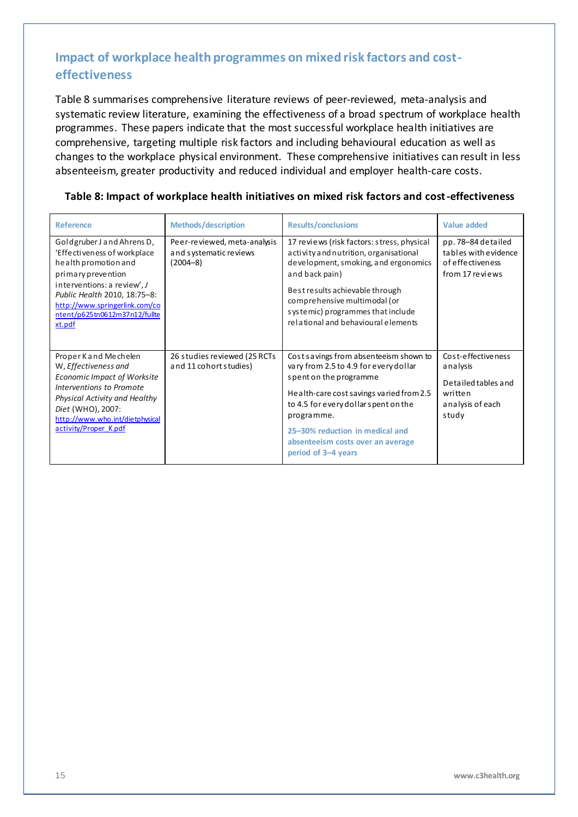## <span id="page-14-0"></span>**Impact of workplace health programmes on mixed risk factors and costeffectiveness**

Table 8 summarises comprehensive literature reviews of peer-reviewed, meta-analysis and systematic review literature, examining the effectiveness of a broad spectrum of workplace health programmes. These papers indicate that the most successful workplace health initiatives are comprehensive, targeting multiple risk factors and including behavioural education as well as changes to the workplace physical environment. These comprehensive initiatives can result in less absenteeism, greater productivity and reduced individual and employer health-care costs.

| <b>Reference</b>                                                                                                                                                                                                                                    | <b>Methods/description</b>                                             | <b>Results/conclusions</b>                                                                                                                                                                                                                                                                                 | <b>Value added</b>                                                                            |
|-----------------------------------------------------------------------------------------------------------------------------------------------------------------------------------------------------------------------------------------------------|------------------------------------------------------------------------|------------------------------------------------------------------------------------------------------------------------------------------------------------------------------------------------------------------------------------------------------------------------------------------------------------|-----------------------------------------------------------------------------------------------|
| Goldgruber J and Ahrens D,<br>'Effectiveness of workplace<br>health promotion and<br>primary prevention<br>interventions: a review', J<br>Public Health 2010, 18:75-8:<br>http://www.springerlink.com/co<br>ntent/p625tn0612m37n12/fullte<br>xt.pdf | Peer-reviewed, meta-analysis<br>and systematic reviews<br>$(2004 - 8)$ | 17 reviews (risk factors: stress, physical<br>activity and nutrition, organisational<br>development, smoking, and ergonomics<br>and back pain)<br>Best results achievable through<br>comprehensive multimodal (or<br>systemic) programmes that include<br>relational and behavioural elements              | pp. 78-84 detailed<br>tables with evidence<br>of effectiveness<br>from 17 reviews             |
| Proper Kand Mechelen<br>W, Effectiveness and<br>Economic Impact of Worksite<br>Interventions to Promote<br>Physical Activity and Healthy<br>Diet (WHO), 2007:<br>http://www.who.int/dietphysical<br>activity/Proper K.pdf                           | 26 studies reviewed (25 RCTs)<br>and 11 cohort studies)                | Cost savings from absenteeism shown to<br>vary from 2.5 to 4.9 for every dollar<br>spent on the programme<br>Health-care cost savings varied from 2.5<br>to 4.5 for every dollar spent on the<br>programme.<br>25-30% reduction in medical and<br>absenteeism costs over an average<br>period of 3-4 years | Cost-effectiveness<br>analysis<br>Detailed tables and<br>written<br>analysis of each<br>study |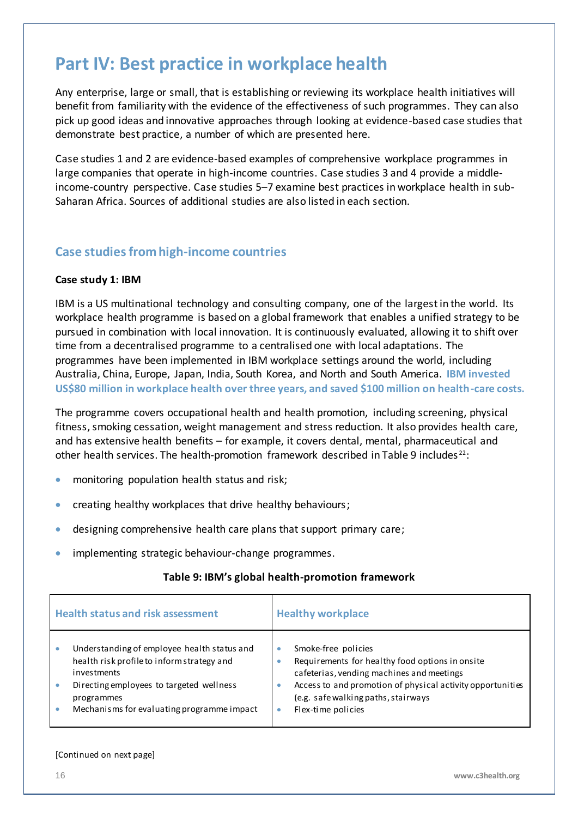## <span id="page-15-0"></span>**Part IV: Best practice in workplace health**

Any enterprise, large or small, that is establishing or reviewing its workplace health initiatives will benefit from familiarity with the evidence of the effectiveness of such programmes. They can also pick up good ideas and innovative approaches through looking at evidence-based case studies that demonstrate best practice, a number of which are presented here.

Case studies 1 and 2 are evidence-based examples of comprehensive workplace programmes in large companies that operate in high-income countries. Case studies 3 and 4 provide a middleincome-country perspective. Case studies 5–7 examine best practices in workplace health in sub-Saharan Africa. Sources of additional studies are also listed in each section.

### <span id="page-15-1"></span>**Case studies from high-income countries**

#### **Case study 1: IBM**

IBM is a US multinational [technology](http://en.wikipedia.org/wiki/Technology) and [consulting](http://en.wikipedia.org/wiki/Consulting) company, one of the largest in the world. Its workplace health programme is based on a global framework that enables a unified strategy to be pursued in combination with local innovation. It is continuously evaluated, allowing it to shift over time from a decentralised programme to a centralised one with local adaptations. The programmes have been implemented in IBM workplace settings around the world, including Australia, China, Europe, Japan, India, South Korea, and North and South America. **IBM invested US\$80 million in workplace health over three years, and saved \$100 million on health-care costs.**

The programme covers occupational health and health promotion, including screening, physical fitness, smoking cessation, weight management and stress reduction. It also provides health care, and has extensive health benefits – for example, it covers dental, mental, pharmaceutical and other health services. The health-promotion framework described in Table 9 includes<sup>22</sup>:

- **•** monitoring population health status and risk;
- creating healthy workplaces that drive healthy behaviours;
- designing comprehensive health care plans that support primary care;
- **•** implementing strategic behaviour-change programmes.

#### **Table 9: IBM's global health-promotion framework**

| <b>Health status and risk assessment</b>    | <b>Healthy workplace</b>                                   |  |  |
|---------------------------------------------|------------------------------------------------------------|--|--|
| Understanding of employee health status and | Smoke-free policies                                        |  |  |
| health risk profile to inform strategy and  | Requirements for healthy food options in onsite            |  |  |
| investments                                 | cafeterias, vending machines and meetings                  |  |  |
| Directing employees to targeted wellness    | Access to and promotion of physical activity opportunities |  |  |
| programmes                                  | (e.g. safe walking paths, stairways                        |  |  |
| Mechanisms for evaluating programme impact  | Flex-time policies                                         |  |  |

#### [Continued on next page]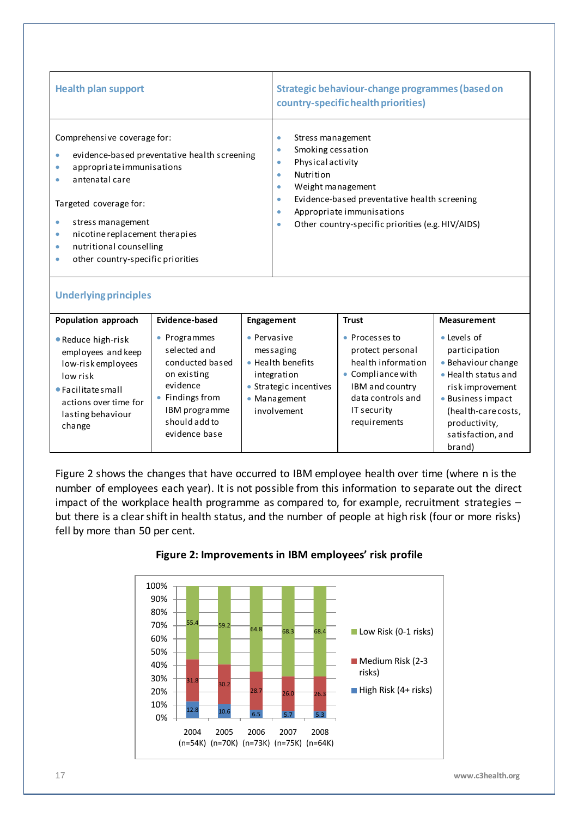| <b>Health plan support</b>                   | Strategic behaviour-change programmes (based on<br>country-specific health priorities) |
|----------------------------------------------|----------------------------------------------------------------------------------------|
| Comprehensive coverage for:                  | Stress management                                                                      |
| evidence-based preventative health screening | Smoking cessation                                                                      |
| ۰                                            | ٠                                                                                      |
| appropriate immunisations                    | Physicalactivity                                                                       |
| $\bullet$                                    | Nutrition                                                                              |
| antenatal care                               | ۰                                                                                      |
| Targeted coverage for:                       | Weight management                                                                      |
| stress management                            | ۰                                                                                      |
| nicotine replacement therapies               | Evidence-based preventative health screening                                           |
| $\bullet$                                    | $\bullet$                                                                              |
| nutritional counselling                      | Appropriate immunisations                                                              |
| $\bullet$                                    | ٠                                                                                      |
| other country-specific priorities            | Other country-specific priorities (e.g. HIV/AIDS)                                      |
| ۰                                            | ۰                                                                                      |

#### **Underlying principles**

| Population approach                                                                                                                                              | Evidence-based                                                                                                                                   | Engagement                                                                                                            | <b>Trust</b>                                                                                                                                         | <b>Measurement</b>                                                                                                                                                                        |
|------------------------------------------------------------------------------------------------------------------------------------------------------------------|--------------------------------------------------------------------------------------------------------------------------------------------------|-----------------------------------------------------------------------------------------------------------------------|------------------------------------------------------------------------------------------------------------------------------------------------------|-------------------------------------------------------------------------------------------------------------------------------------------------------------------------------------------|
| • Reduce high-risk<br>employees and keep<br>low-risk employees<br>low risk<br>$\bullet$ Facilitate small<br>actions over time for<br>lasting behaviour<br>change | • Programmes<br>selected and<br>conducted based<br>on existing<br>evidence<br>• Findings from<br>IBM programme<br>should add to<br>evidence base | • Pervasive<br>messaging<br>• Health benefits<br>integration<br>• Strategic incentives<br>• Management<br>involvement | • Processes to<br>protect personal<br>health information<br>• Compliance with<br>IBM and country<br>data controls and<br>IT security<br>requirements | • Levels of<br>participation<br>• Behaviour change<br>• Health status and<br>risk improvement<br>• Business impact<br>(health-care costs,<br>productivity,<br>satisfaction, and<br>brand) |

Figure 2 shows the changes that have occurred to IBM employee health over time (where n is the number of employees each year). It is not possible from this information to separate out the direct impact of the workplace health programme as compared to, for example, recruitment strategies – but there is a clear shift in health status, and the number of people at high risk (four or more risks) fell by more than 50 per cent.



#### **Figure 2: Improvements in IBM employees' risk profile**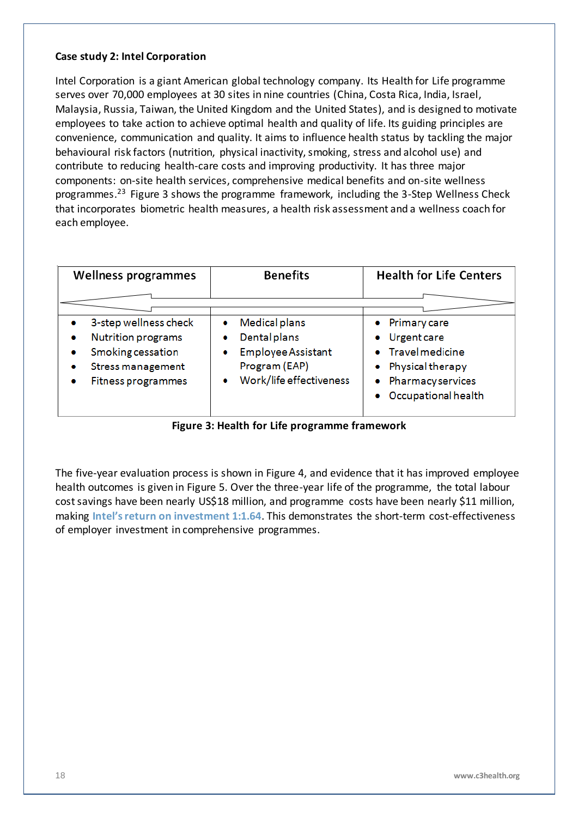#### **Case study 2: Intel Corporation**

Intel Corporation is a giant [American](http://en.wikipedia.org/wiki/United_States) global technology company. Its Health for Life programme serves over 70,000 employees at 30 sites in nine countries (China, Costa Rica, India, Israel, Malaysia, Russia, Taiwan, the United Kingdom and the United States), and is designed to motivate employees to take action to achieve optimal health and quality of life. Its guiding principles are convenience, communication and quality. It aims to influence health status by tackling the major behavioural risk factors (nutrition, physical inactivity, smoking, stress and alcohol use) and contribute to reducing health-care costs and improving productivity. It has three major components: on-site health services, comprehensive medical benefits and on-site wellness programmes.<sup>23</sup> Figure 3 shows the programme framework, including the 3-Step Wellness Check that incorporates biometric health measures, a health risk assessment and a wellness coach for each employee.

| Wellness programmes                                                                                                                                       | <b>Benefits</b>                                                                                             | <b>Health for Life Centers</b>                                                                                                   |
|-----------------------------------------------------------------------------------------------------------------------------------------------------------|-------------------------------------------------------------------------------------------------------------|----------------------------------------------------------------------------------------------------------------------------------|
|                                                                                                                                                           |                                                                                                             |                                                                                                                                  |
| 3-step wellness check<br>٠<br><b>Nutrition programs</b><br>۰<br>Smoking cessation<br>۰<br><b>Stress management</b><br>۰<br><b>Fitness programmes</b><br>٠ | Medical plans<br>۰<br>Dental plans<br><b>Employee Assistant</b><br>Program (EAP)<br>Work/life effectiveness | • Primary care<br>• Urgent care<br>• Travel medicine<br>Physical therapy<br>$\bullet$<br>Pharmacyservices<br>Occupational health |

**Figure 3: Health for Life programme framework**

The five-year evaluation process is shown in Figure 4, and evidence that it has improved employee health outcomes is given in Figure 5. Over the three-year life of the programme, the total labour cost savings have been nearly US\$18 million, and programme costs have been nearly \$11 million, making **Intel's return on investment 1:1.64**. This demonstrates the short-term cost-effectiveness of employer investment in comprehensive programmes.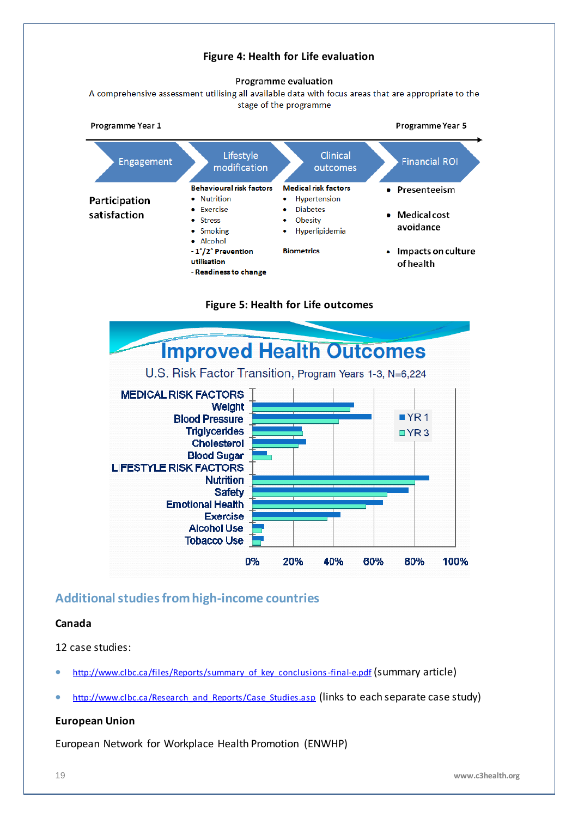#### **Figure 4: Health for Life evaluation**

#### Programme evaluation

A comprehensive assessment utilising all available data with focus areas that are appropriate to the stage of the programme



**Figure 5: Health for Life outcomes**



#### <span id="page-18-0"></span>**Additional studies from high-income countries**

#### **Canada**

12 case studies:

- [http://www.clbc.ca/files/Reports/summary\\_of\\_key\\_conclusions-final-e.pdf](http://www.clbc.ca/files/Reports/summary_of_key_conclusions-final-e.pdf) (summary article)
- [http://www.clbc.ca/Research\\_and\\_Reports/Case\\_Studies.asp](http://www.clbc.ca/Research_and_Reports/Case_Studies.asp) (links to each separate case study)

#### **European Union**

European Network for Workplace Health Promotion (ENWHP)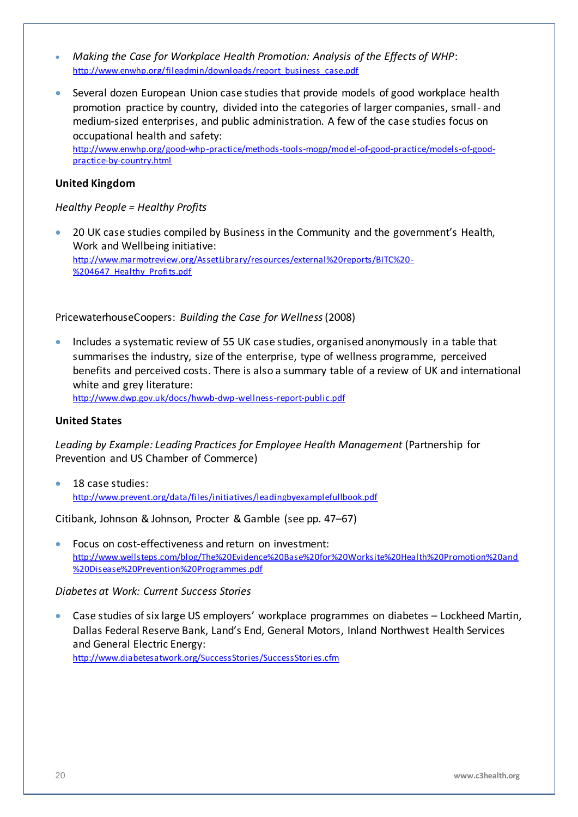- *Making the Case for Workplace Health Promotion: Analysis of the Effects of WHP*: [http://www.enwhp.org/fileadmin/downloads/report\\_business\\_case.pdf](http://www.enwhp.org/fileadmin/downloads/report_business_case.pdf)
- Several dozen European Union case studies that provide models of good workplace health promotion practice by country, divided into the categories of larger companies, small- and medium-sized enterprises, and public administration. A few of the case studies focus on occupational health and safety:

[http://www.enwhp.org/good-whp-practice/methods-tools-mogp/model-of-good-practice/models-of-good](http://www.enwhp.org/good-whp-practice/methods-tools-mogp/model-of-good-practice/models-of-good-practice-by-country.html)[practice-by-country.html](http://www.enwhp.org/good-whp-practice/methods-tools-mogp/model-of-good-practice/models-of-good-practice-by-country.html)

#### **United Kingdom**

#### *Healthy People = Healthy Profits*

 20 UK case studies compiled by Business in the Community and the government's Health, Work and Wellbeing initiative: [http://www.marmotreview.org/AssetLibrary/resources/external%20reports/BITC%20-](http://www.marmotreview.org/AssetLibrary/resources/external%20reports/BITC%20-%204647_Healthy_Profits.pdf) %204647 Healthy Profits.pdf

PricewaterhouseCoopers: *Building the Case for Wellness*(2008)

 Includes a systematic review of 55 UK case studies, organised anonymously in a table that summarises the industry, size of the enterprise, type of wellness programme, perceived benefits and perceived costs. There is also a summary table of a review of UK and international white and grey literature:

<http://www.dwp.gov.uk/docs/hwwb-dwp-wellness-report-public.pdf>

#### **United States**

*Leading by Example: Leading Practices for Employee Health Management* (Partnership for Prevention and US Chamber of Commerce)

 18 case studies: <http://www.prevent.org/data/files/initiatives/leadingbyexamplefullbook.pdf>

Citibank, Johnson & Johnson, Procter & Gamble (see pp. 47–67)

 Focus on cost-effectiveness and return on investment: [http://www.wellsteps.com/blog/The%20Evidence%20Base%20for%20Worksite%20Health%20Promotion%20and](http://www.wellsteps.com/blog/The%20Evidence%20Base%20for%20Worksite%20Health%20Promotion%20and%20Disease%20Prevention%20Programmes.pdf) [%20Disease%20Prevention%20Programmes.pdf](http://www.wellsteps.com/blog/The%20Evidence%20Base%20for%20Worksite%20Health%20Promotion%20and%20Disease%20Prevention%20Programmes.pdf)

#### *Diabetes at Work: Current Success Stories*

 Case studies of six large US employers' workplace programmes on diabetes – [Lockheed Martin,](http://www.diabetesatwork.org/SuccessStories/LockheedMartin.cfm) [Dallas Federal Reserve Bank,](http://www.diabetesatwork.org/SuccessStories/DFWBGH.cfm) [Land's End](http://www.diabetesatwork.org/SuccessStories/LandsEnd.cfm), [General Motors,](http://www.diabetesatwork.org/SuccessStories/GeneralMotors.cfm) [Inland Northwest Health Services](http://www.diabetesatwork.org/SuccessStories/InlandNW.cfm) and [General Electric Energy:](http://www.diabetesatwork.org/SuccessStories/GE_Energy.cfm) <http://www.diabetesatwork.org/SuccessStories/SuccessStories.cfm>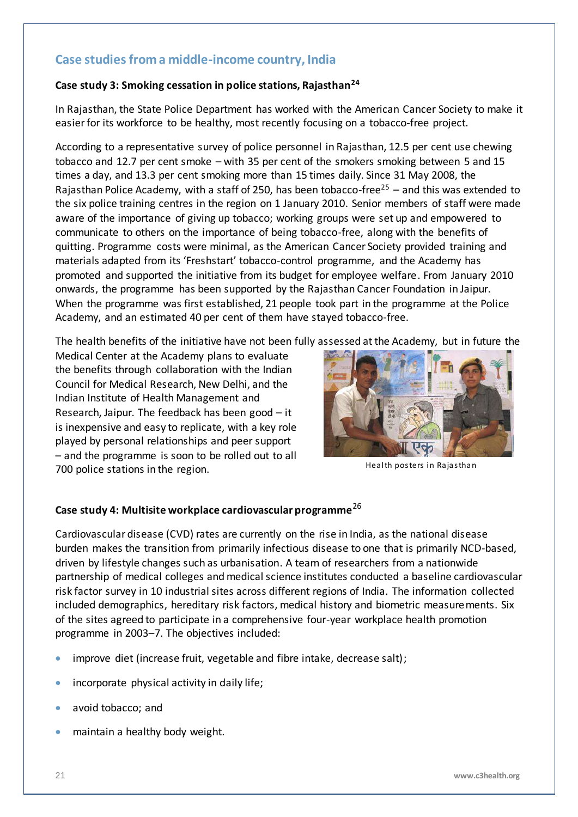### <span id="page-20-0"></span>**Case studiesfrom a middle-income country, India**

#### **Case study 3: Smoking cessation in police stations, Rajasthan<sup>24</sup>**

In Rajasthan, the State Police Department has worked with the American Cancer Society to make it easier for its workforce to be healthy, most recently focusing on a tobacco-free project.

According to a representative survey of police personnel in Rajasthan, 12.5 per cent use chewing tobacco and 12.7 per cent smoke – with 35 per cent of the smokers smoking between 5 and 15 times a day, and 13.3 per cent smoking more than 15 times daily. Since 31 May 2008, the Rajasthan Police Academy, with a staff of 250, has been tobacco-free<sup>25</sup> – and this was extended to the six police training centres in the region on 1 January 2010. Senior members of staff were made aware of the importance of giving up tobacco; working groups were set up and empowered to communicate to others on the importance of being tobacco-free, along with the benefits of quitting. Programme costs were minimal, as the American Cancer Society provided training and materials adapted from its 'Freshstart' tobacco-control programme, and the Academy has promoted and supported the initiative from its budget for employee welfare. From January 2010 onwards, the programme has been supported by the Rajasthan Cancer Foundation in Jaipur. When the programme was first established, 21 people took part in the programme at the Police Academy, and an estimated 40 per cent of them have stayed tobacco-free.

The health benefits of the initiative have not been fully assessed at the Academy, but in future the

Medical Center at the Academy plans to evaluate the benefits through collaboration with the Indian Council for Medical Research, New Delhi, and the Indian Institute of Health Management and Research, Jaipur. The feedback has been good – it is inexpensive and easy to replicate, with a key role played by personal relationships and peer support – and the programme is soon to be rolled out to all 700 police stations in the region.



Health posters in Rajasthan

#### **Case study 4: Multisite workplace cardiovascular programme**<sup>26</sup>

Cardiovascular disease (CVD) rates are currently on the rise in India, as the national disease burden makes the transition from primarily infectious disease to one that is primarily NCD-based, driven by lifestyle changes such as urbanisation. A team of researchers from a nationwide partnership of medical colleges and medical science institutes conducted a baseline cardiovascular risk factor survey in 10 industrial sites across different regions of India. The information collected included demographics, hereditary risk factors, medical history and biometric measurements. Six of the sites agreed to participate in a comprehensive four-year workplace health promotion programme in 2003–7. The objectives included:

- improve diet (increase fruit, vegetable and fibre intake, decrease salt);
- **•** incorporate physical activity in daily life;
- avoid tobacco: and
- maintain a healthy body weight.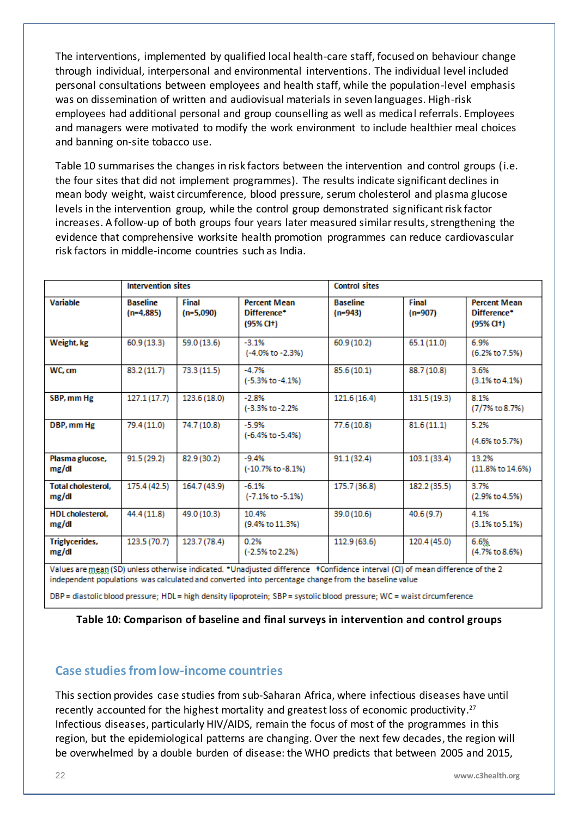The interventions, implemented by qualified local health-care staff, focused on behaviour change through individual, interpersonal and environmental interventions. The individual level included personal consultations between employees and health staff, while the population-level emphasis was on dissemination of written and audiovisual materials in seven languages. High-risk employees had additional personal and group counselling as well as medical referrals. Employees and managers were motivated to modify the work environment to include healthier meal choices and banning on-site tobacco use.

Table 10 summarises the changes in risk factors between the intervention and control groups (i.e. the four sites that did not implement programmes). The results indicate significant declines in mean body weight, waist circumference, blood pressure, serum cholesterol and plasma glucose levels in the intervention group, while the control group demonstrated significant risk factor increases. A follow-up of both groups four years later measured similar results, strengthening the evidence that comprehensive worksite health promotion programmes can reduce cardiovascular risk factors in middle-income countries such as India.

|                                    | <b>Intervention sites</b>      |                      |                                                            | <b>Control sites</b>         |                    |                                                |
|------------------------------------|--------------------------------|----------------------|------------------------------------------------------------|------------------------------|--------------------|------------------------------------------------|
| Variable                           | <b>Baseline</b><br>$(n=4,885)$ | Final<br>$(n=5,090)$ | <b>Percent Mean</b><br>Difference*<br>(95% <sub>ct</sub> ) | <b>Baseline</b><br>$(n=943)$ | Final<br>$(n=907)$ | <b>Percent Mean</b><br>Difference*<br>(95% CH) |
| Weight, kg                         | 60.9 (13.3)                    | 59.0 (13.6)          | $-3.1%$<br>(-4.0% to -2.3%)                                | 60.9 (10.2)                  | 65.1(11.0)         | 6.9%<br>(6.2% to 7.5%)                         |
| WC.cm                              | 83.2(11.7)                     | 73.3 (11.5)          | $-4.7%$<br>$(-5.3\% \text{ to } -4.1\%)$                   | 85.6(10.1)                   | 88.7 (10.8)        | 3.6%<br>$(3.1\% \text{ to } 4.1\%)$            |
| SBP, mm Hg                         | 127.1(17.7)                    | 123.6 (18.0)         | $-2.8%$<br>(-3.3% to -2.2%)                                | 121.6 (16.4)                 | 131.5 (19.3)       | 8.1%<br>(7/7% to 8.7%)                         |
| DBP, mm Hg                         | 79.4 (11.0)                    | 74.7 (10.8)          | $-5.9%$<br>$(-6.4\% \text{ to } -5.4\%)$                   | 77.6(10.8)                   | 81.6(11.1)         | 5.2%<br>(4.6% to 5.7%)                         |
| Plasma glucose,<br>mg/dl           | 91.5(29.2)                     | 82.9 (30.2)          | $-9.4%$<br>(-10.7% to -8.1%)                               | 91.1(32.4)                   | 103.1(33.4)        | 13.2%<br>(11.8% to 14.6%)                      |
| <b>Total cholesterol.</b><br>mg/dl | 175.4 (42.5)                   | 164.7 (43.9)         | $-6.1%$<br>$(-7.1\% \text{ to } -5.1\%)$                   | 175.7 (36.8)                 | 182.2 (35.5)       | 3.7%<br>$(2.9\% \text{ to } 4.5\%)$            |
| <b>HDL</b> cholesterol.<br>mg/dl   | 44.4 (11.8)                    | 49.0 (10.3)          | 104%<br>(9.4% to 11.3%)                                    | 39.0 (10.6)                  | 40.6(9.7)          | 4 1%<br>$(3.1\% \text{ to } 5.1\%)$            |
| Triglycerides,<br>mg/dl            | 123.5 (70.7)                   | 123.7 (78.4)         | 0.2%<br>(-2.5% to 2.2%)                                    | 112.9 (63.6)                 | 120.4 (45.0)       | 6.6%<br>(4.7% to 8.6%)                         |

Values are mean (SD) unless otherwise indicated. \*Unadjusted difference \*Confidence interval (Cl) of mean difference of the 2 independent populations was calculated and converted into percentage change from the baseline value

DBP = diastolic blood pressure; HDL = high density lipoprotein; SBP = systolic blood pressure; WC = waist circumference

**Table 10: Comparison of baseline and final surveys in intervention and control groups**

#### <span id="page-21-0"></span>**Case studies from low-income countries**

This section provides case studies from sub-Saharan Africa, where infectious diseases have until recently accounted for the highest mortality and greatest loss of economic productivity. 27 Infectious diseases, particularly HIV/AIDS, remain the focus of most of the programmes in this region, but the epidemiological patterns are changing. Over the next few decades, the region will be overwhelmed by a double burden of disease: the WHO predicts that between 2005 and 2015,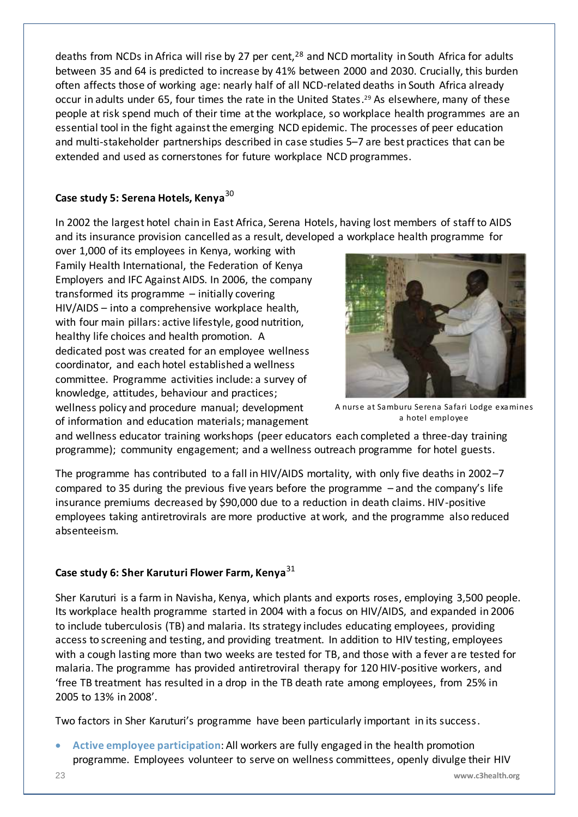deaths from NCDs in Africa will rise by 27 per cent,<sup>28</sup> and NCD mortality in South Africa for adults between 35 and 64 is predicted to increase by 41% between 2000 and 2030. Crucially, this burden often affects those of working age: nearly half of all NCD-related deaths in South Africa already occur in adults under 65, four times the rate in the United States. <sup>29</sup> As elsewhere, many of these people at risk spend much of their time at the workplace, so workplace health programmes are an essential tool in the fight against the emerging NCD epidemic. The processes of peer education and multi-stakeholder partnerships described in case studies 5–7 are best practices that can be extended and used as cornerstones for future workplace NCD programmes.

#### **Case study 5: Serena Hotels, Kenya**<sup>30</sup>

In 2002 the largest hotel chain in East Africa, Serena Hotels, having lost members of staff to AIDS and its insurance provision cancelled as a result, developed a workplace health programme for

over 1,000 of its employees in Kenya, working with Family Health International, the Federation of Kenya Employers and IFC Against AIDS. In 2006, the company transformed its programme – initially covering HIV/AIDS – into a comprehensive workplace health, with four main pillars: active lifestyle, good nutrition, healthy life choices and health promotion. A dedicated post was created for an employee wellness coordinator, and each hotel established a wellness committee. Programme activities include: a survey of knowledge, attitudes, behaviour and practices; wellness policy and procedure manual; development of information and education materials; management



A nurse at Samburu Serena Safari Lodge examines a hotel employee

and wellness educator training workshops (peer educators each completed a three-day training programme); community engagement; and a wellness outreach programme for hotel guests.

The programme has contributed to a fall in HIV/AIDS mortality, with only five deaths in 2002–7 compared to 35 during the previous five years before the programme – and the company's life insurance premiums decreased by \$90,000 due to a reduction in death claims. HIV-positive employees taking antiretrovirals are more productive at work, and the programme also reduced absenteeism.

#### **Case study 6: Sher Karuturi Flower Farm, Kenya**<sup>31</sup>

Sher Karuturi is a farm in Navisha, Kenya, which plants and exports roses, employing 3,500 people. Its workplace health programme started in 2004 with a focus on HIV/AIDS, and expanded in 2006 to include tuberculosis (TB) and malaria. Its strategy includes educating employees, providing access to screening and testing, and providing treatment. In addition to HIV testing, employees with a cough lasting more than two weeks are tested for TB, and those with a fever are tested for malaria. The programme has provided antiretroviral therapy for 120 HIV-positive workers, and 'free TB treatment has resulted in a drop in the TB death rate among employees, from 25% in 2005 to 13% in 2008'.

Two factors in Sher Karuturi's programme have been particularly important in its success.

 **Active employee participation**: All workers are fully engaged in the health promotion programme. Employees volunteer to serve on wellness committees, openly divulge their HIV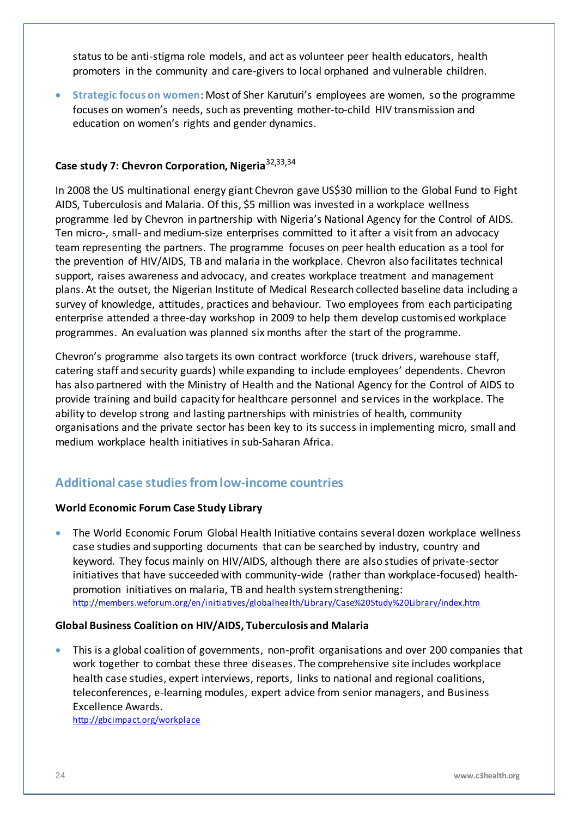status to be anti-stigma role models, and act as volunteer peer health educators, health promoters in the community and care-givers to local orphaned and vulnerable children.

 **Strategic focus on women**: Most of Sher Karuturi's employees are women, so the programme focuses on women's needs, such as preventing mother-to-child HIV transmission and education on women's rights and gender dynamics.

### **Case study 7: Chevron Corporation, Nigeria**32**,**33**,**<sup>34</sup>

In 2008 the US multinational energy giant Chevron gave US\$30 million to the Global Fund to Fight AIDS, Tuberculosis and Malaria. Of this, \$5 million was invested in a workplace wellness programme led by Chevron in partnership with Nigeria's National Agency for the Control of AIDS. Ten micro-, small- and medium-size enterprises committed to it after a visit from an advocacy team representing the partners. The programme focuses on peer health education as a tool for the prevention of HIV/AIDS, TB and malaria in the workplace. Chevron also facilitates technical support, raises awareness and advocacy, and creates workplace treatment and management plans. At the outset, the Nigerian Institute of Medical Research collected baseline data including a survey of knowledge, attitudes, practices and behaviour. Two employees from each participating enterprise attended a three-day workshop in 2009 to help them develop customised workplace programmes. An evaluation was planned six months after the start of the programme.

Chevron's programme also targets its own contract workforce (truck drivers, warehouse staff, catering staff and security guards) while expanding to include employees' dependents. Chevron has also partnered with the Ministry of Health and the National Agency for the Control of AIDS to provide training and build capacity for healthcare personnel and services in the workplace. The ability to develop strong and lasting partnerships with ministries of health, community organisations and the private sector has been key to its success in implementing micro, small and medium workplace health initiatives in sub-Saharan Africa.

## <span id="page-23-0"></span>**Additional case studies from low-income countries**

#### **World Economic Forum Case Study Library**

 The World Economic Forum Global Health Initiative contains several dozen workplace wellness case studies and supporting documents that can be searched by industry, country and keyword. They focus mainly on HIV/AIDS, although there are also studies of private-sector initiatives that have succeeded with community-wide (rather than workplace-focused) healthpromotion initiatives on malaria, TB and health system strengthening: <http://members.weforum.org/en/initiatives/globalhealth/Library/Case%20Study%20Library/index.htm>

#### **Global Business Coalition on HIV/AIDS, Tuberculosis and Malaria**

 This is a global coalition of governments, non-profit organisations and over 200 companies that work together to combat these three diseases. The comprehensive site includes workplace health case studies, expert interviews, reports, links to national and regional coalitions, teleconferences, e-learning modules, expert advice from senior managers, and Business Excellence Awards.

<http://gbcimpact.org/workplace>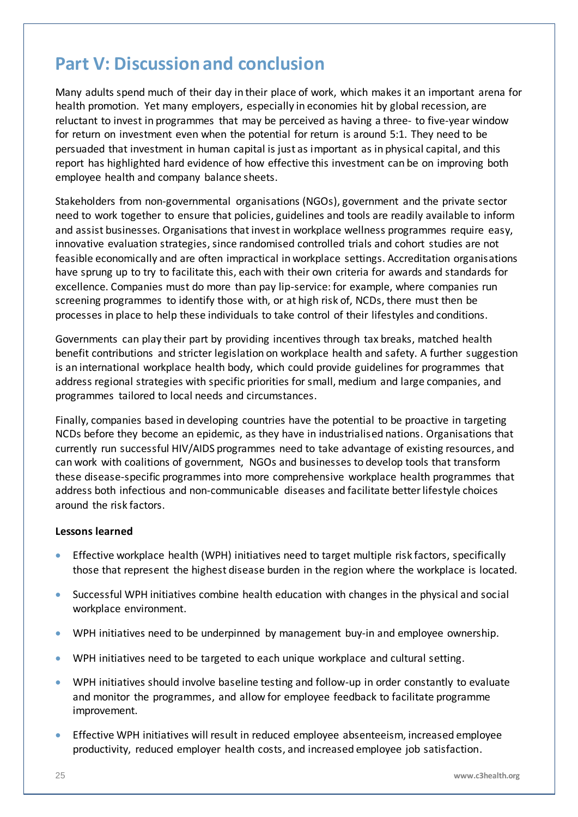## <span id="page-24-0"></span>**Part V: Discussion and conclusion**

Many adults spend much of their day in their place of work, which makes it an important arena for health promotion. Yet many employers, especially in economies hit by global recession, are reluctant to invest in programmes that may be perceived as having a three- to five-year window for return on investment even when the potential for return is around 5:1. They need to be persuaded that investment in human capital is just as important as in physical capital, and this report has highlighted hard evidence of how effective this investment can be on improving both employee health and company balance sheets.

Stakeholders from non-governmental organisations (NGOs), government and the private sector need to work together to ensure that policies, guidelines and tools are readily available to inform and assist businesses. Organisations that invest in workplace wellness programmes require easy, innovative evaluation strategies, since randomised controlled trials and cohort studies are not feasible economically and are often impractical in workplace settings. Accreditation organisations have sprung up to try to facilitate this, each with their own criteria for awards and standards for excellence. Companies must do more than pay lip-service: for example, where companies run screening programmes to identify those with, or at high risk of, NCDs, there must then be processes in place to help these individuals to take control of their lifestyles and conditions.

Governments can play their part by providing incentives through tax breaks, matched health benefit contributions and stricter legislation on workplace health and safety. A further suggestion is an international workplace health body, which could provide guidelines for programmes that address regional strategies with specific priorities for small, medium and large companies, and programmes tailored to local needs and circumstances.

Finally, companies based in developing countries have the potential to be proactive in targeting NCDs before they become an epidemic, as they have in industrialised nations. Organisations that currently run successful HIV/AIDS programmes need to take advantage of existing resources, and can work with coalitions of government, NGOs and businesses to develop tools that transform these disease-specific programmes into more comprehensive workplace health programmes that address both infectious and non-communicable diseases and facilitate better lifestyle choices around the risk factors.

#### **Lessons learned**

- Effective workplace health (WPH) initiatives need to target multiple risk factors, specifically those that represent the highest disease burden in the region where the workplace is located.
- Successful WPH initiatives combine health education with changes in the physical and social workplace environment.
- WPH initiatives need to be underpinned by management buy-in and employee ownership.
- WPH initiatives need to be targeted to each unique workplace and cultural setting.
- WPH initiatives should involve baseline testing and follow-up in order constantly to evaluate and monitor the programmes, and allow for employee feedback to facilitate programme improvement.
- Effective WPH initiatives will result in reduced employee absenteeism, increased employee productivity, reduced employer health costs, and increased employee job satisfaction.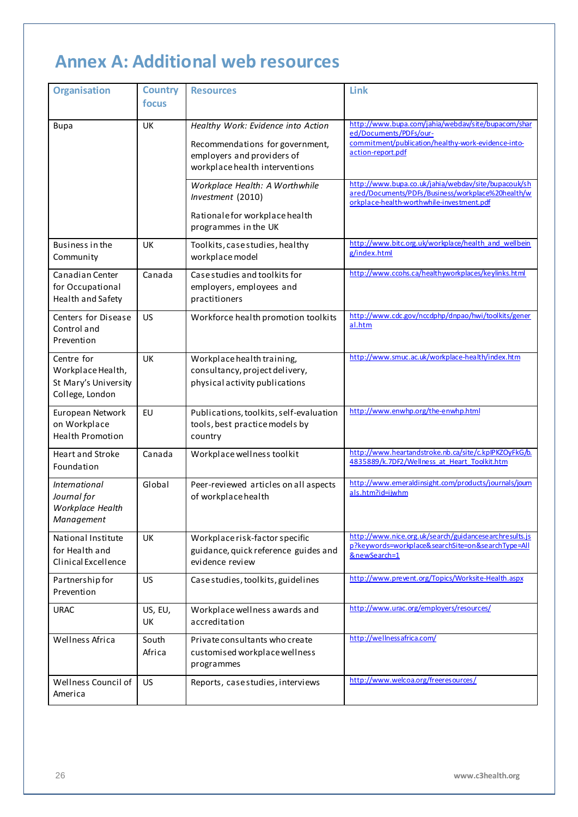## <span id="page-25-0"></span>**Annex A: Additional web resources**

| <b>Organisation</b>                                                        | <b>Country</b><br>focus | <b>Resources</b>                                                                                                                      | Link                                                                                                                                                    |
|----------------------------------------------------------------------------|-------------------------|---------------------------------------------------------------------------------------------------------------------------------------|---------------------------------------------------------------------------------------------------------------------------------------------------------|
| <b>Bupa</b>                                                                | <b>UK</b>               | Healthy Work: Evidence into Action<br>Recommendations for government,<br>employers and providers of<br>workplace health interventions | http://www.bupa.com/jahia/webdav/site/bupacom/shar<br>ed/Documents/PDFs/our-<br>commitment/publication/healthy-work-evidence-into-<br>action-report.pdf |
|                                                                            |                         | Workplace Health: A Worthwhile<br>Investment (2010)<br>Rationale for workplace health<br>programmes in the UK                         | http://www.bupa.co.uk/jahia/webdav/site/bupacouk/sh<br>ared/Documents/PDFs/Business/workplace%20health/w<br>orkplace-health-worthwhile-investment.pdf   |
| Business in the<br>Community                                               | UK                      | Toolkits, case studies, healthy<br>workplace model                                                                                    | http://www.bitc.org.uk/workplace/health and wellbein<br>g/index.html                                                                                    |
| Canadian Center<br>for Occupational<br>Health and Safety                   | Canada                  | Case studies and toolkits for<br>employers, employees and<br>practitioners                                                            | http://www.ccohs.ca/healthyworkplaces/keylinks.html                                                                                                     |
| Centers for Disease<br>Control and<br>Prevention                           | <b>US</b>               | Workforce health promotion toolkits                                                                                                   | http://www.cdc.gov/nccdphp/dnpao/hwi/toolkits/gener<br>al.htm                                                                                           |
| Centre for<br>Workplace Health,<br>St Mary's University<br>College, London | <b>UK</b>               | Workplace health training,<br>consultancy, project delivery,<br>physical activity publications                                        | http://www.smuc.ac.uk/workplace-health/index.htm                                                                                                        |
| European Network<br>on Workplace<br><b>Health Promotion</b>                | EU                      | Publications, toolkits, self-evaluation<br>tools, best practice models by<br>country                                                  | http://www.enwhp.org/the-enwhp.html                                                                                                                     |
| <b>Heart and Stroke</b><br>Foundation                                      | Canada                  | Workplace wellness toolkit                                                                                                            | http://www.heartandstroke.nb.ca/site/c.kpIPKZOyFkG/b.<br>4835889/k.7DF2/Wellness at Heart Toolkit.htm                                                   |
| <i>International</i><br>Journal for<br>Workplace Health<br>Management      | Global                  | Peer-reviewed articles on all aspects<br>of workplace health                                                                          | http://www.emeraldinsight.com/products/journals/joum<br>als.htm?id=ijwhm                                                                                |
| National Institute<br>for Health and<br>Clinical Excellence                | UK                      | Workplace risk-factor specific<br>guidance, quick reference guides and<br>evidence review                                             | http://www.nice.org.uk/search/guidancesearchresults.js<br>p?keywords=workplace&searchSite=on&searchType=All<br>&newSearch=1                             |
| Partnership for<br>Prevention                                              | <b>US</b>               | Case studies, toolkits, guidelines                                                                                                    | http://www.prevent.org/Topics/Worksite-Health.aspx                                                                                                      |
| <b>URAC</b>                                                                | US, EU,<br>UK           | Workplace wellness awards and<br>accreditation                                                                                        | http://www.urac.org/employers/resources/                                                                                                                |
| Wellness Africa                                                            | South<br>Africa         | Private consultants who create<br>customised workplace wellness<br>programmes                                                         | http://wellnessafrica.com/                                                                                                                              |
| Wellness Council of<br>America                                             | <b>US</b>               | Reports, case studies, interviews                                                                                                     | http://www.welcoa.org/freeresources/                                                                                                                    |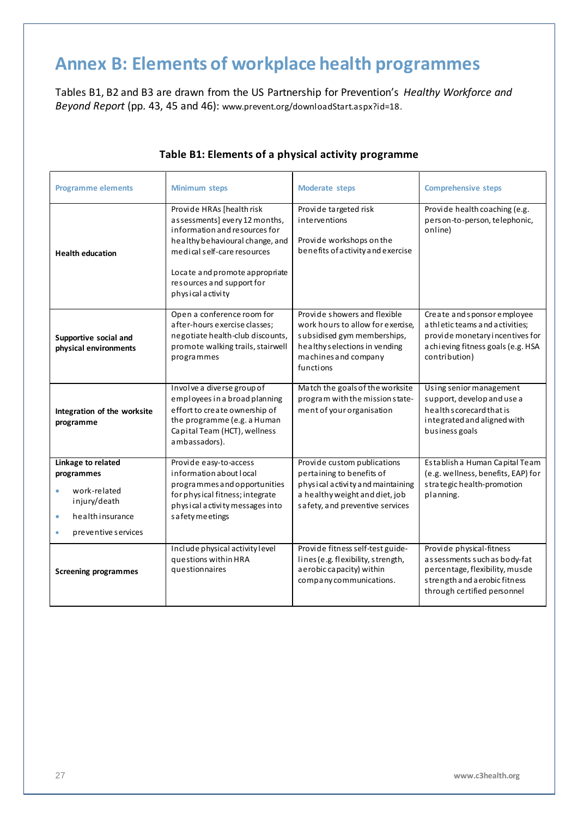## <span id="page-26-0"></span>**Annex B: Elements of workplace health programmes**

Tables B1, B2 and B3 are drawn from the US Partnership for Prevention's *Healthy Workforce and Beyond Report* (pp. 43, 45 and 46): [www.prevent.org/downloadStart.aspx?id=18.](file:///E:/C3%20Report/www.prevent.org/downloadStart.aspx%3fid=18)

| <b>Programme elements</b>                                                                                               | <b>Minimum steps</b>                                                                                                                                                                                                                                                                                                                                         | <b>Moderate steps</b>                                                                                                                                                  | <b>Comprehensive steps</b>                                                                                                                                 |
|-------------------------------------------------------------------------------------------------------------------------|--------------------------------------------------------------------------------------------------------------------------------------------------------------------------------------------------------------------------------------------------------------------------------------------------------------------------------------------------------------|------------------------------------------------------------------------------------------------------------------------------------------------------------------------|------------------------------------------------------------------------------------------------------------------------------------------------------------|
| <b>Health education</b>                                                                                                 | Provide HRAs [health risk<br>Provide targeted risk<br>assessments] every 12 months,<br>interventions<br>information and resources for<br>Provide workshops on the<br>healthy behavioural change, and<br>benefits of activity and exercise<br>medical self-care resources<br>Locate and promote appropriate<br>resources and support for<br>physical activity |                                                                                                                                                                        | Provide health coaching (e.g.<br>person-to-person, telephonic,<br>online)                                                                                  |
| Supportive social and<br>physical environments                                                                          | Open a conference room for<br>after-hours exercise classes;<br>negotiate health-club discounts,<br>promote walking trails, stairwell<br>programmes                                                                                                                                                                                                           | Provide showers and flexible<br>work hours to allow for exercise.<br>subsidised gym memberships,<br>healthy selections in vending<br>machines and company<br>functions | Create and sponsor employee<br>a thletic teams and activities;<br>provide monetary incentives for<br>a chieving fitness goals (e.g. HSA<br>contribution)   |
| Integration of the worksite<br>programme                                                                                | Involve a diverse group of<br>employees in a broad planning<br>effort to create ownership of<br>the programme (e.g. a Human<br>Capital Team (HCT), wellness<br>ambassadors).                                                                                                                                                                                 | Match the goals of the worksite<br>program with the mission state-<br>ment of your organisation                                                                        | Using senior management<br>support, develop and use a<br>health scorecard that is<br>integrated and aligned with<br>business goals                         |
| Linkage to related<br>programmes<br>work-related<br>injury/death<br>healthinsurance<br>$\bullet$<br>preventive services | Provide easy-to-access<br>information about local<br>programmes and opportunities<br>for physical fitness; integrate<br>physical activity messages into<br>s a fety meetings                                                                                                                                                                                 | Provide custom publications<br>pertaining to benefits of<br>physical activity and maintaining<br>a healthy weight and diet, job<br>safety, and preventive services     | Establish a Human Capital Team<br>(e.g. wellness, benefits, EAP) for<br>strategic health-promotion<br>planning.                                            |
| <b>Screening programmes</b>                                                                                             | Include physical activity level<br>questions within HRA<br>questionnaires                                                                                                                                                                                                                                                                                    | Provide fitness self-test guide-<br>lines (e.g. flexibility, strength,<br>a e robic ca pacity) within<br>company communications.                                       | Provide physical-fitness<br>assessments such as body-fat<br>percentage, flexibility, musde<br>strength and a erobic fitness<br>through certified personnel |

#### **Table B1: Elements of a physical activity programme**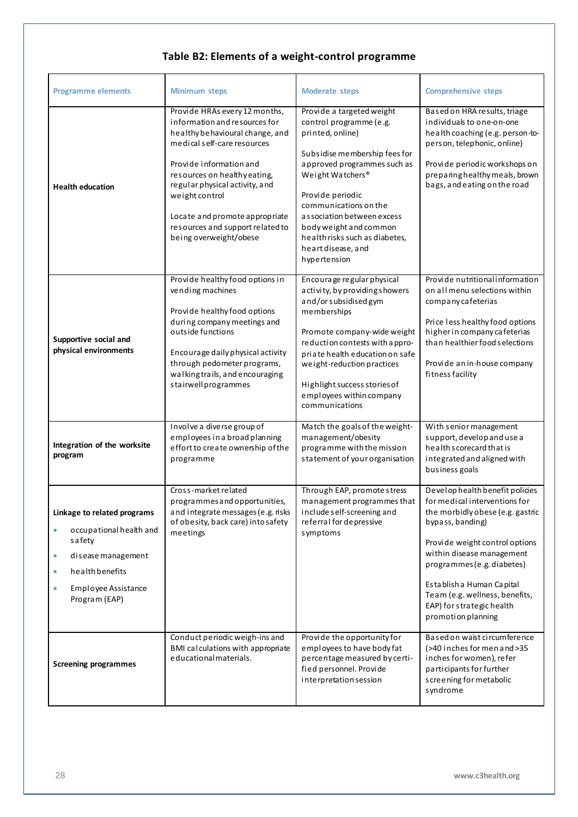## **Table B2: Elements of a weight-control programme**

| <b>Programme elements</b>                                                                                                                                                     | <b>Minimum steps</b>                                                                                                                                                                                                                                                                                                                            | <b>Moderate steps</b>                                                                                                                                                                                                                                                                                                                      | <b>Comprehensive steps</b>                                                                                                                                                                                                                                                                                                              |
|-------------------------------------------------------------------------------------------------------------------------------------------------------------------------------|-------------------------------------------------------------------------------------------------------------------------------------------------------------------------------------------------------------------------------------------------------------------------------------------------------------------------------------------------|--------------------------------------------------------------------------------------------------------------------------------------------------------------------------------------------------------------------------------------------------------------------------------------------------------------------------------------------|-----------------------------------------------------------------------------------------------------------------------------------------------------------------------------------------------------------------------------------------------------------------------------------------------------------------------------------------|
| <b>Health education</b>                                                                                                                                                       | Provide HRAs every 12 months,<br>information and resources for<br>healthy behavioural change, and<br>medical self-care resources<br>Provide information and<br>resources on healthy eating,<br>regular physical activity, and<br>weight control<br>Locate and promote appropriate<br>resources and support related to<br>being overweight/obese | Provide a targeted weight<br>control programme (e.g.<br>printed, online)<br>Subsidise membership fees for<br>approved programmes such as<br>Weight Watchers®<br>Provide periodic<br>communications on the<br>as sociation between excess<br>body weight and common<br>health risks such as diabetes,<br>heart disease, and<br>hypertension | Based on HRA results, triage<br>individuals to one-on-one<br>health coaching (e.g. person-to-<br>person, telephonic, online)<br>Provide periodic workshops on<br>preparinghealthy meals, brown<br>bags, and eating on the road                                                                                                          |
| Supportive social and<br>physical environments                                                                                                                                | Provide healthy food options in<br>vending machines<br>Provide healthy food options<br>during company meetings and<br>outside functions<br>Encourage daily physical activity<br>through pedometer programs,<br>walking trails, and encouraging<br>stairwellprogrammes                                                                           | Encourage regular physical<br>activity, by providings howers<br>and/or subsidised gym<br>memberships<br>Promote company-wide weight<br>reduction contests with a ppro-<br>priate health education on safe<br>weight-reduction practices<br>Highlight success stories of<br>employees within company<br>communications                      | Provide nutritional information<br>on all menu selections within<br>company cafeterias<br>Price less healthy food options<br>higher in company cafeterias<br>than healthier food selections<br>Provide an in-house company<br>fitness facility                                                                                          |
| Integration of the worksite<br>program                                                                                                                                        | Involve a diverse group of<br>employees in a broad planning<br>effort to create ownership of the<br>programme                                                                                                                                                                                                                                   | Match the goals of the weight-<br>management/obesity<br>programme with the mission<br>statement of your organisation                                                                                                                                                                                                                       | With senior management<br>support, develop and use a<br>health scorecard that is<br>integrated and aligned with<br>business goals                                                                                                                                                                                                       |
| Linkage to related programs<br>occupational health and<br>۰<br>safety<br>disease management<br>۰<br>health benefits<br>$\bullet$<br>Employee Assistance<br>۰<br>Program (EAP) | Cross-market related<br>programmes and opportunities,<br>and integrate messages (e.g. risks<br>of obesity, back care) into safety<br>meetings                                                                                                                                                                                                   | Through EAP, promote stress<br>management programmes that<br>include self-screening and<br>referral for depressive<br>symptoms                                                                                                                                                                                                             | Develop health benefit policies<br>for medical interventions for<br>the morbidly obese (e.g. gastric<br>bypass, banding)<br>Provide weight control options<br>within disease management<br>programmes (e.g. diabetes)<br>Establish a Human Capital<br>Team (e.g. wellness, benefits,<br>EAP) for strategic health<br>promotion planning |
| <b>Screening programmes</b>                                                                                                                                                   | Conduct periodic weigh-ins and<br>BMI calculations with appropriate<br>educational materials.                                                                                                                                                                                                                                                   | Provide the opportunity for<br>employees to have body fat<br>percentage measured by certi-<br>fied personnel. Provide<br>interpretation session                                                                                                                                                                                            | Based on waist circumference<br>(>40 inches for men and >35<br>inches for women), refer<br>participants for further<br>s creening for metabolic<br>syndrome                                                                                                                                                                             |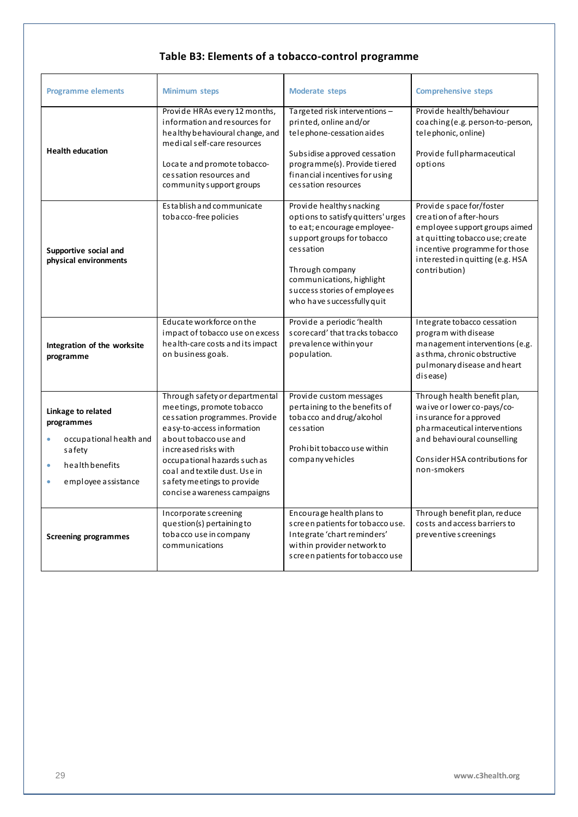### **Table B3: Elements of a tobacco-control programme**

| <b>Programme elements</b>                                                                                                    | <b>Minimum steps</b>                                                                                                                                                                                                                                                                                        | <b>Moderate steps</b>                                                                                                                                                                                                                                  | <b>Comprehensive steps</b>                                                                                                                                                                                   |
|------------------------------------------------------------------------------------------------------------------------------|-------------------------------------------------------------------------------------------------------------------------------------------------------------------------------------------------------------------------------------------------------------------------------------------------------------|--------------------------------------------------------------------------------------------------------------------------------------------------------------------------------------------------------------------------------------------------------|--------------------------------------------------------------------------------------------------------------------------------------------------------------------------------------------------------------|
| <b>Health education</b>                                                                                                      | Provide HRAs every 12 months,<br>information and resources for<br>healthy behavioural change, and<br>medical self-care resources<br>Locate and promote tobacco-<br>cessation resources and<br>community support groups                                                                                      | Targeted risk interventions-<br>printed, online and/or<br>telephone-cessation aides<br>Subsidise approved cessation<br>programme(s). Provide tiered<br>financial incentives for using<br>cessation resources                                           | Provide health/behaviour<br>coaching (e.g. person-to-person,<br>telephonic, online)<br>Provide full pharmaceutical<br>options                                                                                |
| Supportive social and<br>physical environments                                                                               | Establish and communicate<br>tobacco-free policies                                                                                                                                                                                                                                                          | Provide healthy snacking<br>options to satisfy quitters' urges<br>to eat; encourage employee-<br>support groups for tobacco<br>cessation<br>Through company<br>communications, highlight<br>success stories of employees<br>who have successfully quit | Provide space for/foster<br>creation of after-hours<br>employee support groups aimed<br>at quitting tobaccouse; create<br>incentive programme for those<br>interested in quitting (e.g. HSA<br>contribution) |
| Integration of the worksite<br>programme                                                                                     | Educate workforce on the<br>impact of tobacco use on excess<br>health-care costs and its impact<br>on business goals.                                                                                                                                                                                       | Provide a periodic 'health<br>score card' that tracks to bacco<br>prevalence within your<br>population.                                                                                                                                                | Integrate tobacco cessation<br>program with disease<br>management interventions (e.g.<br>as thma, chronic obstructive<br>pulmonary disease and heart<br>disease)                                             |
| Linkage to related<br>programmes<br>occupational health and<br>safety<br>health benefits<br>$\bullet$<br>employee assistance | Through safety or departmental<br>meetings, promote tobacco<br>cessation programmes. Provide<br>easy-to-access information<br>a bout to baccouse and<br>increased risks with<br>occupational hazards such as<br>coal and textile dust. Use in<br>safety meetings to provide<br>concise a wareness campaigns | Provide custom messages<br>pertaining to the benefits of<br>tobacco and drug/alcohol<br>cessation<br>Prohibit to baccouse within<br>company vehicles                                                                                                   | Through health benefit plan,<br>waive or lower co-pays/co-<br>insurance for approved<br>pharmaceutical interventions<br>and behavioural counselling<br>Consider HSA contributions for<br>non-smokers         |
| <b>Screening programmes</b>                                                                                                  | Incorporate screening<br>question(s) pertaining to<br>tobacco use in company<br>communications                                                                                                                                                                                                              | Encourage health plans to<br>screen patients for tobaccouse.<br>Integrate 'chart reminders'<br>within provider network to<br>screen patients for tobaccouse                                                                                            | Through benefit plan, reduce<br>costs and access barriers to<br>preventive screenings                                                                                                                        |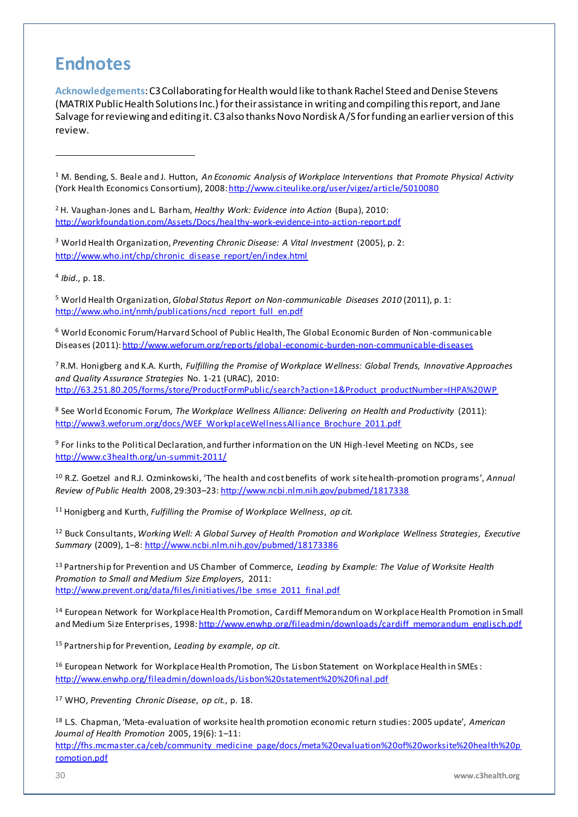## <span id="page-29-0"></span>**Endnotes**

**Acknowledgements**: C3 Collaborating for Health would like to thank Rachel Steed and Denise Stevens (MATRIX Public Health Solutions Inc.) for their assistance in writing and compiling this report, and Jane Salvage for reviewing and editing it. C3 also thanks Novo Nordisk A/S for funding an earlier version of this review.

<sup>1</sup> M. Bending, S. Beale and J. Hutton, *An Economic Analysis of Workplace Interventions that Promote Physical Activity* (York Health Economics Consortium), 2008[: http://www.citeulike.org/user/vigez/article/5010080](http://www.citeulike.org/user/vigez/article/5010080)

<sup>2</sup> H. Vaughan-Jones and L. Barham, *Healthy Work: Evidence into Action* (Bupa), 2010: <http://workfoundation.com/Assets/Docs/healthy-work-evidence-into-action-report.pdf>

<sup>3</sup> World Health Organization, *Preventing Chronic Disease: A Vital Investment* (2005), p. 2: [http://www.who.int/chp/chronic\\_disease\\_report/en/index.html](http://www.who.int/chp/chronic_disease_report/en/index.html)

4 *Ibid.*, p. 18.

 $\overline{a}$ 

<sup>5</sup> World Health Organization, *Global Status Report on Non-communicable Diseases 2010* (2011), p. 1: [http://www.who.int/nmh/publications/ncd\\_report\\_full\\_en.pdf](http://www.who.int/nmh/publications/ncd_report_full_en.pdf)

<sup>6</sup> World Economic Forum/Harvard School of Public Health, The Global Economic Burden of Non-communicable Diseases (2011)[: http://www.weforum.org/reports/global-economic-burden-non-communicable-diseases](http://www.weforum.org/reports/global-economic-burden-non-communicable-diseases)

<sup>7</sup> R.M. Honigberg and K.A. Kurth, *Fulfilling the Promise of Workplace Wellness: Global Trends, Innovative Approaches and Quality Assurance Strategies* No. 1-21 (URAC), 2010: [http://63.251.80.205/forms/store/ProductFormPublic/search?action=1&Product\\_productNumber=IHPA%20WP](http://63.251.80.205/forms/store/ProductFormPublic/search?action=1&Product_productNumber=IHPA%20WP)

<sup>8</sup> See World Economic Forum, *The Workplace Wellness Alliance: Delivering on Health and Productivity* (2011): [http://www3.weforum.org/docs/WEF\\_WorkplaceWellnessAlliance\\_Brochure\\_2011.pdf](http://www3.weforum.org/docs/WEF_WorkplaceWellnessAlliance_Brochure_2011.pdf)

<sup>9</sup> For links to the Political Declaration, and further information on the UN High-level Meeting on NCDs, see <http://www.c3health.org/un-summit-2011/>

<sup>10</sup> R.Z. Goetzel and R.J. Ozminkowski, 'The health and cost benefits of work site health-promotion programs', *Annual Review of Public Health* 2008, 29:303–23[: http://www.ncbi.nlm.nih.gov/pubmed/1817338](http://www.ncbi.nlm.nih.gov/pubmed/1817338)

<sup>11</sup> Honigberg and Kurth, *Fulfilling the Promise of Workplace Wellness*, *op cit.*

<sup>12</sup> Buck Consultants, *Working Well: A Global Survey of Health Promotion and Workplace Wellness Strategies, Executive Summary* (2009), 1–8[: http://www.ncbi.nlm.nih.gov/pubmed/18173386](http://www.ncbi.nlm.nih.gov/pubmed/18173386)

<sup>13</sup> Partnership for Prevention and US Chamber of Commerce, *Leading by Example: The Value of Worksite Health Promotion to Small and Medium Size Employers,* 2011: [http://www.prevent.org/data/files/initiatives/lbe\\_smse\\_2011\\_final.pdf](http://www.prevent.org/data/files/initiatives/lbe_smse_2011_final.pdf)

<sup>14</sup> European Network for Workplace Health Promotion, Cardiff Memorandum on Workplace Health Promotion in Small and Medium Size Enterprises, 1998[: http://www.enwhp.org/fileadmin/downloads/cardiff\\_memorandum\\_englisch.pdf](http://www.enwhp.org/fileadmin/downloads/cardiff_memorandum_englisch.pdf)

<sup>15</sup> Partnership for Prevention, *Leading by example*, *op cit*.

<sup>16</sup> European Network for Workplace Health Promotion, The Lisbon Statement on Workplace Health in SMEs: <http://www.enwhp.org/fileadmin/downloads/Lisbon%20statement%20%20final.pdf>

<sup>17</sup> WHO, *Preventing Chronic Disease*, *op cit.*, p. 18.

<sup>18</sup> L.S. Chapman, 'Meta-evaluation of worksite health promotion economic return studies: 2005 update', *American Journal of Health Promotion* 2005, 19(6): 1–11: [http://fhs.mcmaster.ca/ceb/community\\_medicine\\_page/docs/meta%20evaluation%20of%20worksite%20health%20p](http://fhs.mcmaster.ca/ceb/community_medicine_page/docs/meta%20evaluation%20of%20worksite%20health%20promotion.pdf) [romotion.pdf](http://fhs.mcmaster.ca/ceb/community_medicine_page/docs/meta%20evaluation%20of%20worksite%20health%20promotion.pdf)